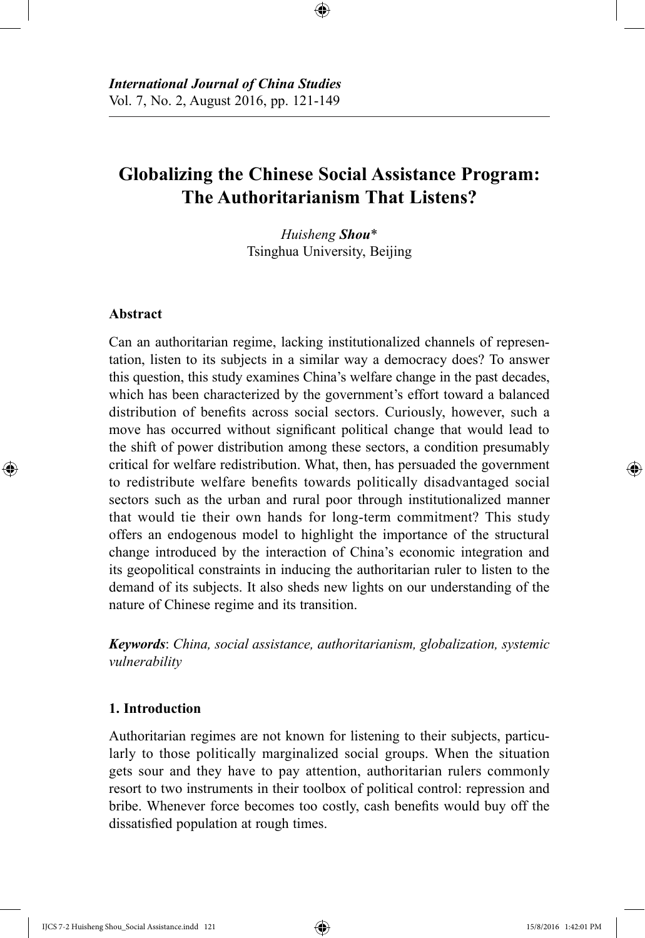# **Globalizing the Chinese Social Assistance Program: The Authoritarianism That Listens?**

⊕

*Huisheng Shou*\* Tsinghua University, Beijing

# **Abstract**

⊕

Can an authoritarian regime, lacking institutionalized channels of representation, listen to its subjects in a similar way a democracy does? To answer this question, this study examines China's welfare change in the past decades, which has been characterized by the government's effort toward a balanced distribution of benefits across social sectors. Curiously, however, such a move has occurred without significant political change that would lead to the shift of power distribution among these sectors, a condition presumably critical for welfare redistribution. What, then, has persuaded the government to redistribute welfare benefits towards politically disadvantaged social sectors such as the urban and rural poor through institutionalized manner that would tie their own hands for long-term commitment? This study offers an endogenous model to highlight the importance of the structural change introduced by the interaction of China's economic integration and its geopolitical constraints in inducing the authoritarian ruler to listen to the demand of its subjects. It also sheds new lights on our understanding of the nature of Chinese regime and its transition.

*Keywords*: *China, social assistance, authoritarianism, globalization, systemic vulnerability*

# **1. Introduction**

Authoritarian regimes are not known for listening to their subjects, particularly to those politically marginalized social groups. When the situation gets sour and they have to pay attention, authoritarian rulers commonly resort to two instruments in their toolbox of political control: repression and bribe. Whenever force becomes too costly, cash benefits would buy off the dissatisfied population at rough times.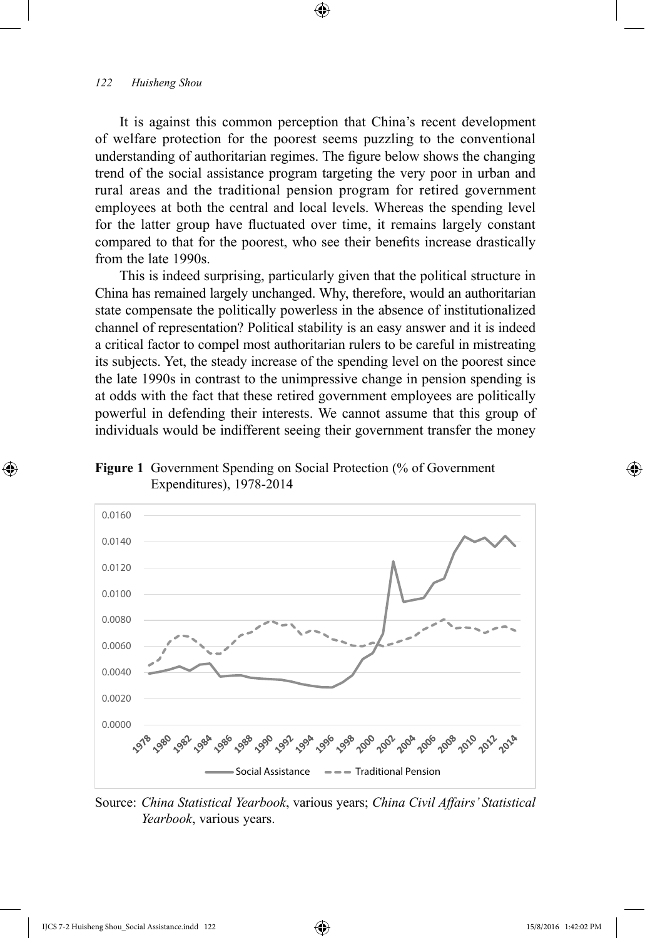It is against this common perception that China's recent development of welfare protection for the poorest seems puzzling to the conventional understanding of authoritarian regimes. The figure below shows the changing trend of the social assistance program targeting the very poor in urban and rural areas and the traditional pension program for retired government employees at both the central and local levels. Whereas the spending level for the latter group have fluctuated over time, it remains largely constant compared to that for the poorest, who see their benefits increase drastically from the late 1990s.

⊕

This is indeed surprising, particularly given that the political structure in China has remained largely unchanged. Why, therefore, would an authoritarian state compensate the politically powerless in the absence of institutionalized channel of representation? Political stability is an easy answer and it is indeed a critical factor to compel most authoritarian rulers to be careful in mistreating its subjects. Yet, the steady increase of the spending level on the poorest since the late 1990s in contrast to the unimpressive change in pension spending is at odds with the fact that these retired government employees are politically powerful in defending their interests. We cannot assume that this group of individuals would be indifferent seeing their government transfer the money





Source: *China Statistical Yearbook*, various years; *China Civil Affairs' Statistical Yearbook*, various years.

⊕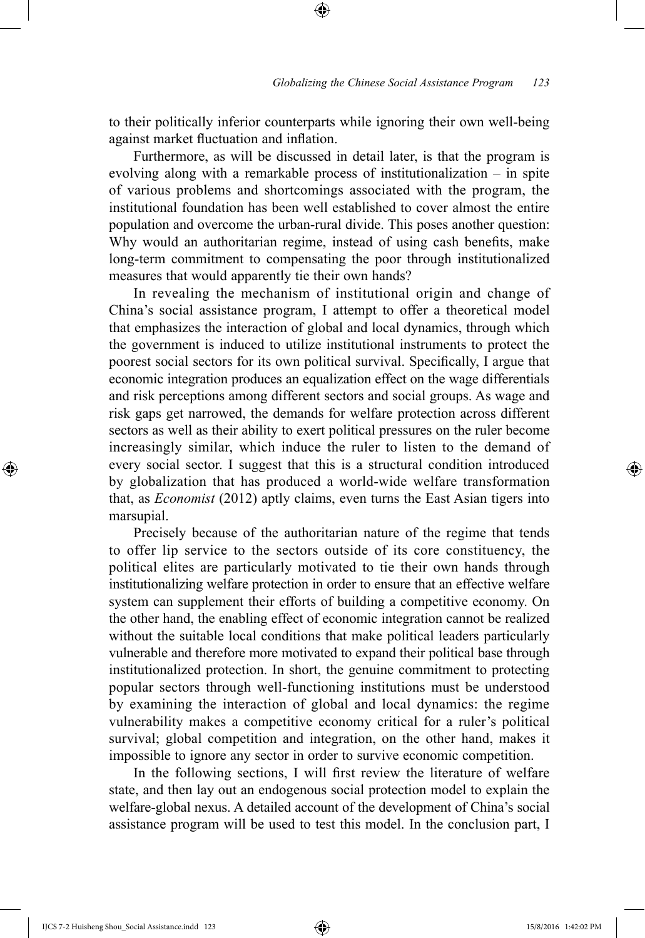to their politically inferior counterparts while ignoring their own well-being against market fluctuation and inflation.

⊕

Furthermore, as will be discussed in detail later, is that the program is evolving along with a remarkable process of institutionalization – in spite of various problems and shortcomings associated with the program, the institutional foundation has been well established to cover almost the entire population and overcome the urban-rural divide. This poses another question: Why would an authoritarian regime, instead of using cash benefits, make long-term commitment to compensating the poor through institutionalized measures that would apparently tie their own hands?

In revealing the mechanism of institutional origin and change of China's social assistance program, I attempt to offer a theoretical model that emphasizes the interaction of global and local dynamics, through which the government is induced to utilize institutional instruments to protect the poorest social sectors for its own political survival. Specifically, I argue that economic integration produces an equalization effect on the wage differentials and risk perceptions among different sectors and social groups. As wage and risk gaps get narrowed, the demands for welfare protection across different sectors as well as their ability to exert political pressures on the ruler become increasingly similar, which induce the ruler to listen to the demand of every social sector. I suggest that this is a structural condition introduced by globalization that has produced a world-wide welfare transformation that, as *Economist* (2012) aptly claims, even turns the East Asian tigers into marsupial.

Precisely because of the authoritarian nature of the regime that tends to offer lip service to the sectors outside of its core constituency, the political elites are particularly motivated to tie their own hands through institutionalizing welfare protection in order to ensure that an effective welfare system can supplement their efforts of building a competitive economy. On the other hand, the enabling effect of economic integration cannot be realized without the suitable local conditions that make political leaders particularly vulnerable and therefore more motivated to expand their political base through institutionalized protection. In short, the genuine commitment to protecting popular sectors through well-functioning institutions must be understood by examining the interaction of global and local dynamics: the regime vulnerability makes a competitive economy critical for a ruler's political survival; global competition and integration, on the other hand, makes it impossible to ignore any sector in order to survive economic competition.

In the following sections, I will first review the literature of welfare state, and then lay out an endogenous social protection model to explain the welfare-global nexus. A detailed account of the development of China's social assistance program will be used to test this model. In the conclusion part, I

IJCS 7-2 Huisheng Shou\_Social Assistance.indd 123 15/8/2016 1:42:02 PM

⊕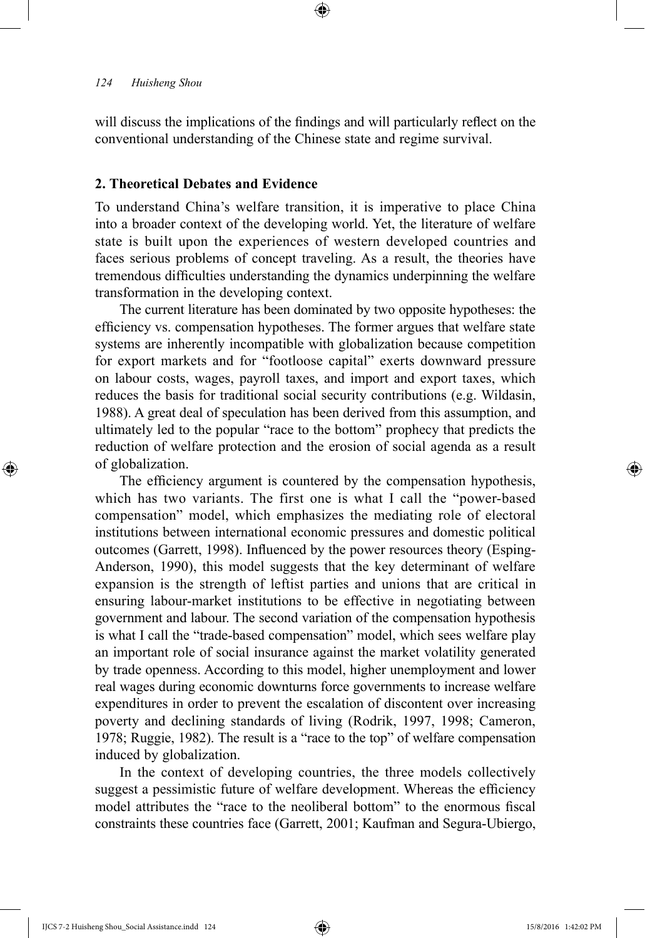will discuss the implications of the findings and will particularly reflect on the conventional understanding of the Chinese state and regime survival.

⊕

# **2. Theoretical Debates and Evidence**

To understand China's welfare transition, it is imperative to place China into a broader context of the developing world. Yet, the literature of welfare state is built upon the experiences of western developed countries and faces serious problems of concept traveling. As a result, the theories have tremendous difficulties understanding the dynamics underpinning the welfare transformation in the developing context.

The current literature has been dominated by two opposite hypotheses: the efficiency vs. compensation hypotheses. The former argues that welfare state systems are inherently incompatible with globalization because competition for export markets and for "footloose capital" exerts downward pressure on labour costs, wages, payroll taxes, and import and export taxes, which reduces the basis for traditional social security contributions (e.g. Wildasin, 1988). A great deal of speculation has been derived from this assumption, and ultimately led to the popular "race to the bottom" prophecy that predicts the reduction of welfare protection and the erosion of social agenda as a result of globalization.

The efficiency argument is countered by the compensation hypothesis, which has two variants. The first one is what I call the "power-based compensation" model, which emphasizes the mediating role of electoral institutions between international economic pressures and domestic political outcomes (Garrett, 1998). Influenced by the power resources theory (Esping-Anderson, 1990), this model suggests that the key determinant of welfare expansion is the strength of leftist parties and unions that are critical in ensuring labour-market institutions to be effective in negotiating between government and labour. The second variation of the compensation hypothesis is what I call the "trade-based compensation" model, which sees welfare play an important role of social insurance against the market volatility generated by trade openness. According to this model, higher unemployment and lower real wages during economic downturns force governments to increase welfare expenditures in order to prevent the escalation of discontent over increasing poverty and declining standards of living (Rodrik, 1997, 1998; Cameron, 1978; Ruggie, 1982). The result is a "race to the top" of welfare compensation induced by globalization.

In the context of developing countries, the three models collectively suggest a pessimistic future of welfare development. Whereas the efficiency model attributes the "race to the neoliberal bottom" to the enormous fiscal constraints these countries face (Garrett, 2001; Kaufman and Segura-Ubiergo,

⊕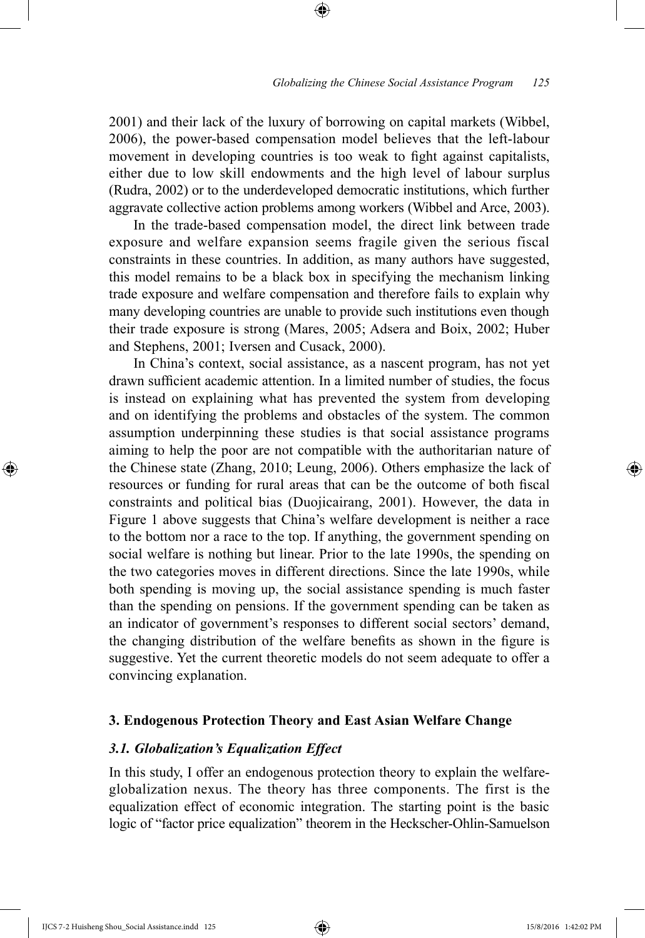#### *Globalizing the Chinese Social Assistance Program 125*

2001) and their lack of the luxury of borrowing on capital markets (Wibbel, 2006), the power-based compensation model believes that the left-labour movement in developing countries is too weak to fight against capitalists, either due to low skill endowments and the high level of labour surplus (Rudra, 2002) or to the underdeveloped democratic institutions, which further aggravate collective action problems among workers (Wibbel and Arce, 2003).

⊕

In the trade-based compensation model, the direct link between trade exposure and welfare expansion seems fragile given the serious fiscal constraints in these countries. In addition, as many authors have suggested, this model remains to be a black box in specifying the mechanism linking trade exposure and welfare compensation and therefore fails to explain why many developing countries are unable to provide such institutions even though their trade exposure is strong (Mares, 2005; Adsera and Boix, 2002; Huber and Stephens, 2001; Iversen and Cusack, 2000).

In China's context, social assistance, as a nascent program, has not yet drawn sufficient academic attention. In a limited number of studies, the focus is instead on explaining what has prevented the system from developing and on identifying the problems and obstacles of the system. The common assumption underpinning these studies is that social assistance programs aiming to help the poor are not compatible with the authoritarian nature of the Chinese state (Zhang, 2010; Leung, 2006). Others emphasize the lack of resources or funding for rural areas that can be the outcome of both fiscal constraints and political bias (Duojicairang, 2001). However, the data in Figure 1 above suggests that China's welfare development is neither a race to the bottom nor a race to the top. If anything, the government spending on social welfare is nothing but linear. Prior to the late 1990s, the spending on the two categories moves in different directions. Since the late 1990s, while both spending is moving up, the social assistance spending is much faster than the spending on pensions. If the government spending can be taken as an indicator of government's responses to different social sectors' demand, the changing distribution of the welfare benefits as shown in the figure is suggestive. Yet the current theoretic models do not seem adequate to offer a convincing explanation.

## **3. Endogenous Protection Theory and East Asian Welfare Change**

# *3.1. Globalization's Equalization Effect*

In this study, I offer an endogenous protection theory to explain the welfareglobalization nexus. The theory has three components. The first is the equalization effect of economic integration. The starting point is the basic logic of "factor price equalization" theorem in the Heckscher-Ohlin-Samuelson

IJCS 7-2 Huisheng Shou\_Social Assistance.indd 125 15/8/2016 1:42:02 PM

⊕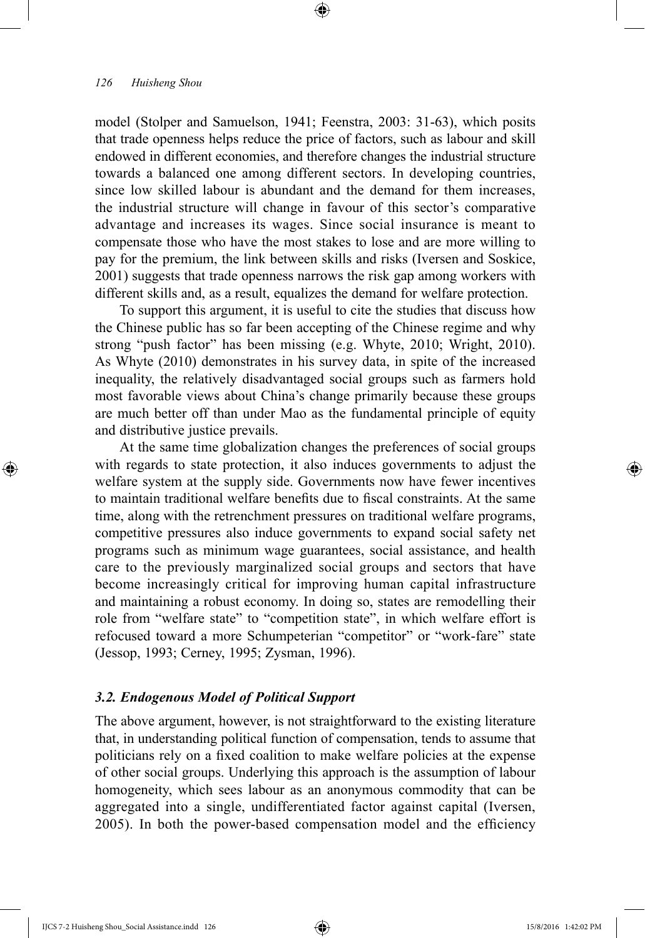model (Stolper and Samuelson, 1941; Feenstra, 2003: 31-63), which posits that trade openness helps reduce the price of factors, such as labour and skill endowed in different economies, and therefore changes the industrial structure towards a balanced one among different sectors. In developing countries, since low skilled labour is abundant and the demand for them increases, the industrial structure will change in favour of this sector's comparative advantage and increases its wages. Since social insurance is meant to compensate those who have the most stakes to lose and are more willing to pay for the premium, the link between skills and risks (Iversen and Soskice, 2001) suggests that trade openness narrows the risk gap among workers with different skills and, as a result, equalizes the demand for welfare protection.

⊕

To support this argument, it is useful to cite the studies that discuss how the Chinese public has so far been accepting of the Chinese regime and why strong "push factor" has been missing (e.g. Whyte, 2010; Wright, 2010). As Whyte (2010) demonstrates in his survey data, in spite of the increased inequality, the relatively disadvantaged social groups such as farmers hold most favorable views about China's change primarily because these groups are much better off than under Mao as the fundamental principle of equity and distributive justice prevails.

At the same time globalization changes the preferences of social groups with regards to state protection, it also induces governments to adjust the welfare system at the supply side. Governments now have fewer incentives to maintain traditional welfare benefits due to fiscal constraints. At the same time, along with the retrenchment pressures on traditional welfare programs, competitive pressures also induce governments to expand social safety net programs such as minimum wage guarantees, social assistance, and health care to the previously marginalized social groups and sectors that have become increasingly critical for improving human capital infrastructure and maintaining a robust economy. In doing so, states are remodelling their role from "welfare state" to "competition state", in which welfare effort is refocused toward a more Schumpeterian "competitor" or "work-fare" state (Jessop, 1993; Cerney, 1995; Zysman, 1996).

### *3.2. Endogenous Model of Political Support*

The above argument, however, is not straightforward to the existing literature that, in understanding political function of compensation, tends to assume that politicians rely on a fixed coalition to make welfare policies at the expense of other social groups. Underlying this approach is the assumption of labour homogeneity, which sees labour as an anonymous commodity that can be aggregated into a single, undifferentiated factor against capital (Iversen, 2005). In both the power-based compensation model and the efficiency

⊕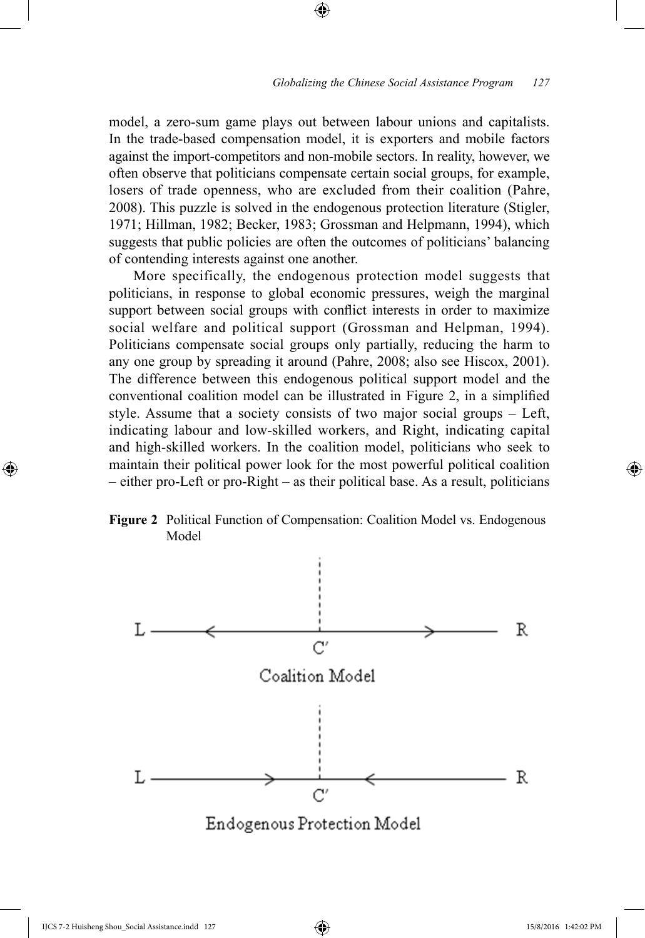model, a zero-sum game plays out between labour unions and capitalists. In the trade-based compensation model, it is exporters and mobile factors against the import-competitors and non-mobile sectors. In reality, however, we often observe that politicians compensate certain social groups, for example, losers of trade openness, who are excluded from their coalition (Pahre, 2008). This puzzle is solved in the endogenous protection literature (Stigler, 1971; Hillman, 1982; Becker, 1983; Grossman and Helpmann, 1994), which suggests that public policies are often the outcomes of politicians' balancing of contending interests against one another.

⊕

More specifically, the endogenous protection model suggests that politicians, in response to global economic pressures, weigh the marginal support between social groups with conflict interests in order to maximize social welfare and political support (Grossman and Helpman, 1994). Politicians compensate social groups only partially, reducing the harm to any one group by spreading it around (Pahre, 2008; also see Hiscox, 2001). The difference between this endogenous political support model and the conventional coalition model can be illustrated in Figure 2, in a simplified style. Assume that a society consists of two major social groups – Left, indicating labour and low-skilled workers, and Right, indicating capital and high-skilled workers. In the coalition model, politicians who seek to maintain their political power look for the most powerful political coalition – either pro-Left or pro-Right – as their political base. As a result, politicians





⊕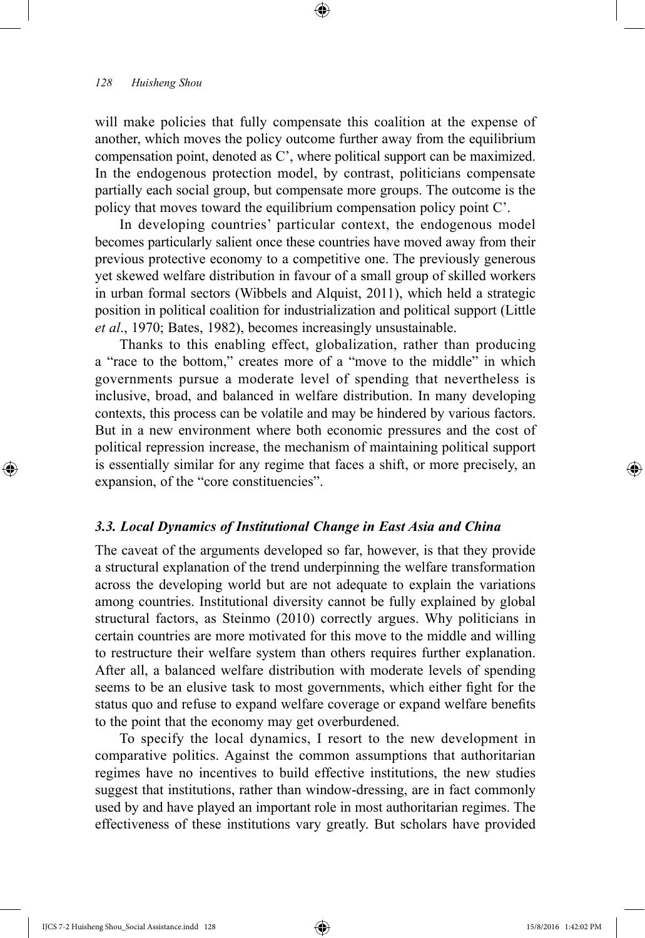will make policies that fully compensate this coalition at the expense of another, which moves the policy outcome further away from the equilibrium compensation point, denoted as C', where political support can be maximized. In the endogenous protection model, by contrast, politicians compensate partially each social group, but compensate more groups. The outcome is the policy that moves toward the equilibrium compensation policy point C'.

⊕

In developing countries' particular context, the endogenous model becomes particularly salient once these countries have moved away from their previous protective economy to a competitive one. The previously generous yet skewed welfare distribution in favour of a small group of skilled workers in urban formal sectors (Wibbels and Alquist, 2011), which held a strategic position in political coalition for industrialization and political support (Little *et al*., 1970; Bates, 1982), becomes increasingly unsustainable.

Thanks to this enabling effect, globalization, rather than producing a "race to the bottom," creates more of a "move to the middle" in which governments pursue a moderate level of spending that nevertheless is inclusive, broad, and balanced in welfare distribution. In many developing contexts, this process can be volatile and may be hindered by various factors. But in a new environment where both economic pressures and the cost of political repression increase, the mechanism of maintaining political support is essentially similar for any regime that faces a shift, or more precisely, an expansion, of the "core constituencies".

#### *3.3. Local Dynamics of Institutional Change in East Asia and China*

The caveat of the arguments developed so far, however, is that they provide a structural explanation of the trend underpinning the welfare transformation across the developing world but are not adequate to explain the variations among countries. Institutional diversity cannot be fully explained by global structural factors, as Steinmo (2010) correctly argues. Why politicians in certain countries are more motivated for this move to the middle and willing to restructure their welfare system than others requires further explanation. After all, a balanced welfare distribution with moderate levels of spending seems to be an elusive task to most governments, which either fight for the status quo and refuse to expand welfare coverage or expand welfare benefits to the point that the economy may get overburdened.

To specify the local dynamics, I resort to the new development in comparative politics. Against the common assumptions that authoritarian regimes have no incentives to build effective institutions, the new studies suggest that institutions, rather than window-dressing, are in fact commonly used by and have played an important role in most authoritarian regimes. The effectiveness of these institutions vary greatly. But scholars have provided

IJCS 7-2 Huisheng Shou\_Social Assistance.indd 128 15/8/2016 1:42:02 PM

⊕

↔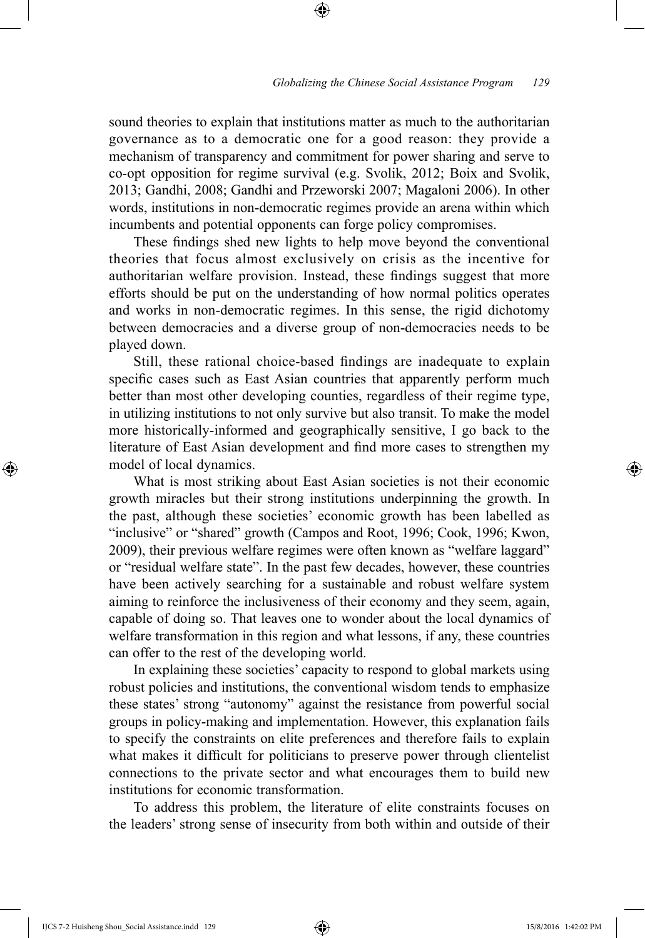sound theories to explain that institutions matter as much to the authoritarian governance as to a democratic one for a good reason: they provide a mechanism of transparency and commitment for power sharing and serve to co-opt opposition for regime survival (e.g. Svolik, 2012; Boix and Svolik, 2013; Gandhi, 2008; Gandhi and Przeworski 2007; Magaloni 2006). In other words, institutions in non-democratic regimes provide an arena within which incumbents and potential opponents can forge policy compromises.

⊕

These findings shed new lights to help move beyond the conventional theories that focus almost exclusively on crisis as the incentive for authoritarian welfare provision. Instead, these findings suggest that more efforts should be put on the understanding of how normal politics operates and works in non-democratic regimes. In this sense, the rigid dichotomy between democracies and a diverse group of non-democracies needs to be played down.

Still, these rational choice-based findings are inadequate to explain specific cases such as East Asian countries that apparently perform much better than most other developing counties, regardless of their regime type, in utilizing institutions to not only survive but also transit. To make the model more historically-informed and geographically sensitive, I go back to the literature of East Asian development and find more cases to strengthen my model of local dynamics.

What is most striking about East Asian societies is not their economic growth miracles but their strong institutions underpinning the growth. In the past, although these societies' economic growth has been labelled as "inclusive" or "shared" growth (Campos and Root, 1996; Cook, 1996; Kwon, 2009), their previous welfare regimes were often known as "welfare laggard" or "residual welfare state". In the past few decades, however, these countries have been actively searching for a sustainable and robust welfare system aiming to reinforce the inclusiveness of their economy and they seem, again, capable of doing so. That leaves one to wonder about the local dynamics of welfare transformation in this region and what lessons, if any, these countries can offer to the rest of the developing world.

In explaining these societies' capacity to respond to global markets using robust policies and institutions, the conventional wisdom tends to emphasize these states' strong "autonomy" against the resistance from powerful social groups in policy-making and implementation. However, this explanation fails to specify the constraints on elite preferences and therefore fails to explain what makes it difficult for politicians to preserve power through clientelist connections to the private sector and what encourages them to build new institutions for economic transformation.

To address this problem, the literature of elite constraints focuses on the leaders' strong sense of insecurity from both within and outside of their

IJCS 7-2 Huisheng Shou\_Social Assistance.indd 129 15/8/2016 1:42:02 PM

⊕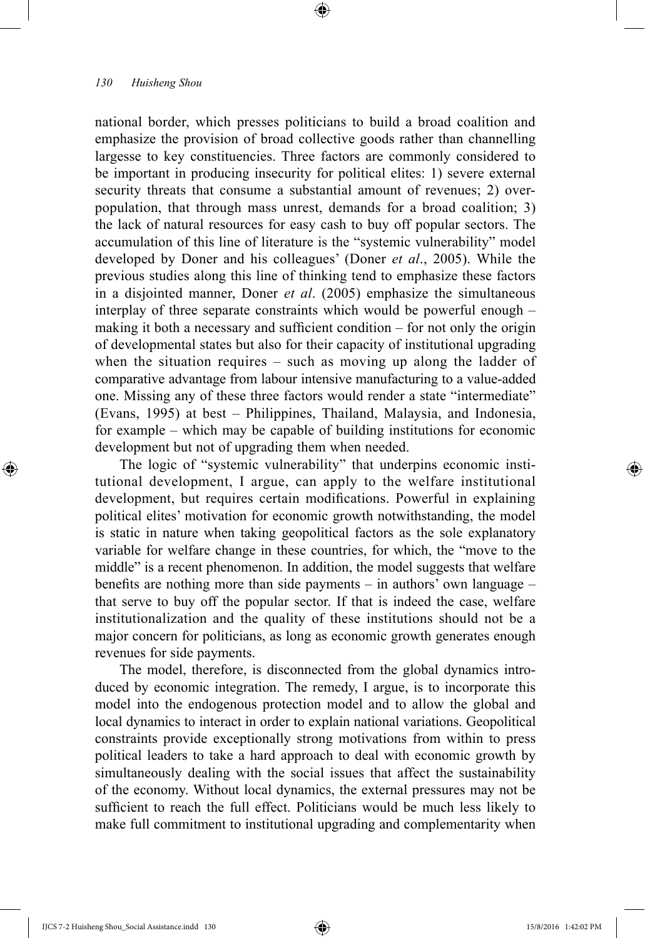national border, which presses politicians to build a broad coalition and emphasize the provision of broad collective goods rather than channelling largesse to key constituencies. Three factors are commonly considered to be important in producing insecurity for political elites: 1) severe external security threats that consume a substantial amount of revenues; 2) overpopulation, that through mass unrest, demands for a broad coalition; 3) the lack of natural resources for easy cash to buy off popular sectors. The accumulation of this line of literature is the "systemic vulnerability" model developed by Doner and his colleagues' (Doner *et al*., 2005). While the previous studies along this line of thinking tend to emphasize these factors in a disjointed manner, Doner *et al*. (2005) emphasize the simultaneous interplay of three separate constraints which would be powerful enough – making it both a necessary and sufficient condition – for not only the origin of developmental states but also for their capacity of institutional upgrading when the situation requires – such as moving up along the ladder of comparative advantage from labour intensive manufacturing to a value-added one. Missing any of these three factors would render a state "intermediate" (Evans, 1995) at best – Philippines, Thailand, Malaysia, and Indonesia, for example – which may be capable of building institutions for economic development but not of upgrading them when needed.

⊕

The logic of "systemic vulnerability" that underpins economic institutional development, I argue, can apply to the welfare institutional development, but requires certain modifications. Powerful in explaining political elites' motivation for economic growth notwithstanding, the model is static in nature when taking geopolitical factors as the sole explanatory variable for welfare change in these countries, for which, the "move to the middle" is a recent phenomenon. In addition, the model suggests that welfare benefits are nothing more than side payments – in authors' own language – that serve to buy off the popular sector. If that is indeed the case, welfare institutionalization and the quality of these institutions should not be a major concern for politicians, as long as economic growth generates enough revenues for side payments.

The model, therefore, is disconnected from the global dynamics introduced by economic integration. The remedy, I argue, is to incorporate this model into the endogenous protection model and to allow the global and local dynamics to interact in order to explain national variations. Geopolitical constraints provide exceptionally strong motivations from within to press political leaders to take a hard approach to deal with economic growth by simultaneously dealing with the social issues that affect the sustainability of the economy. Without local dynamics, the external pressures may not be sufficient to reach the full effect. Politicians would be much less likely to make full commitment to institutional upgrading and complementarity when

⊕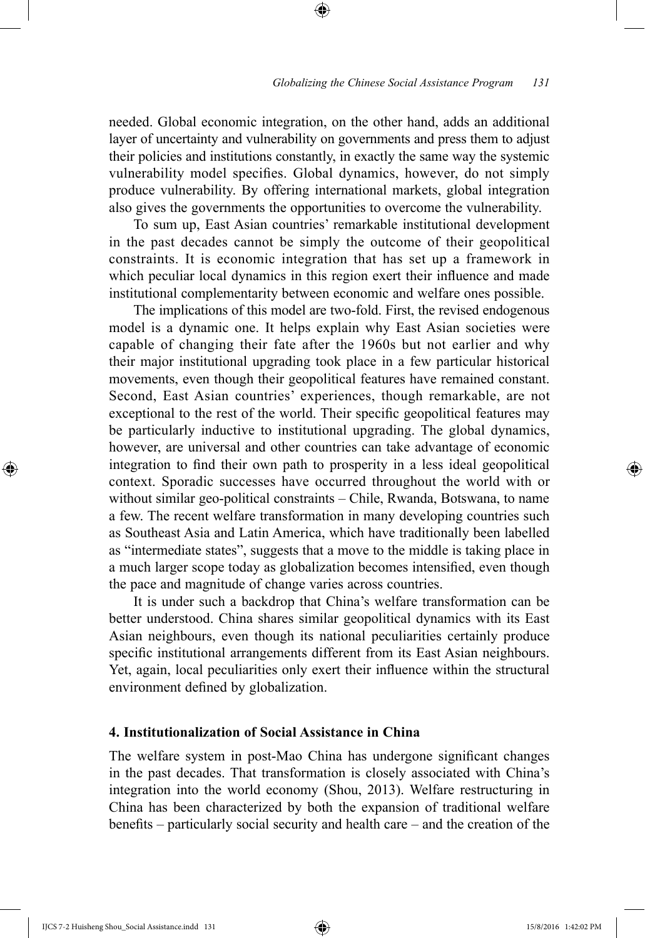needed. Global economic integration, on the other hand, adds an additional layer of uncertainty and vulnerability on governments and press them to adjust their policies and institutions constantly, in exactly the same way the systemic vulnerability model specifies. Global dynamics, however, do not simply produce vulnerability. By offering international markets, global integration also gives the governments the opportunities to overcome the vulnerability.

⊕

To sum up, East Asian countries' remarkable institutional development in the past decades cannot be simply the outcome of their geopolitical constraints. It is economic integration that has set up a framework in which peculiar local dynamics in this region exert their influence and made institutional complementarity between economic and welfare ones possible.

The implications of this model are two-fold. First, the revised endogenous model is a dynamic one. It helps explain why East Asian societies were capable of changing their fate after the 1960s but not earlier and why their major institutional upgrading took place in a few particular historical movements, even though their geopolitical features have remained constant. Second, East Asian countries' experiences, though remarkable, are not exceptional to the rest of the world. Their specific geopolitical features may be particularly inductive to institutional upgrading. The global dynamics, however, are universal and other countries can take advantage of economic integration to find their own path to prosperity in a less ideal geopolitical context. Sporadic successes have occurred throughout the world with or without similar geo-political constraints – Chile, Rwanda, Botswana, to name a few. The recent welfare transformation in many developing countries such as Southeast Asia and Latin America, which have traditionally been labelled as "intermediate states", suggests that a move to the middle is taking place in a much larger scope today as globalization becomes intensified, even though the pace and magnitude of change varies across countries.

It is under such a backdrop that China's welfare transformation can be better understood. China shares similar geopolitical dynamics with its East Asian neighbours, even though its national peculiarities certainly produce specific institutional arrangements different from its East Asian neighbours. Yet, again, local peculiarities only exert their influence within the structural environment defined by globalization.

## **4. Institutionalization of Social Assistance in China**

The welfare system in post-Mao China has undergone significant changes in the past decades. That transformation is closely associated with China's integration into the world economy (Shou, 2013). Welfare restructuring in China has been characterized by both the expansion of traditional welfare benefits – particularly social security and health care – and the creation of the

⊕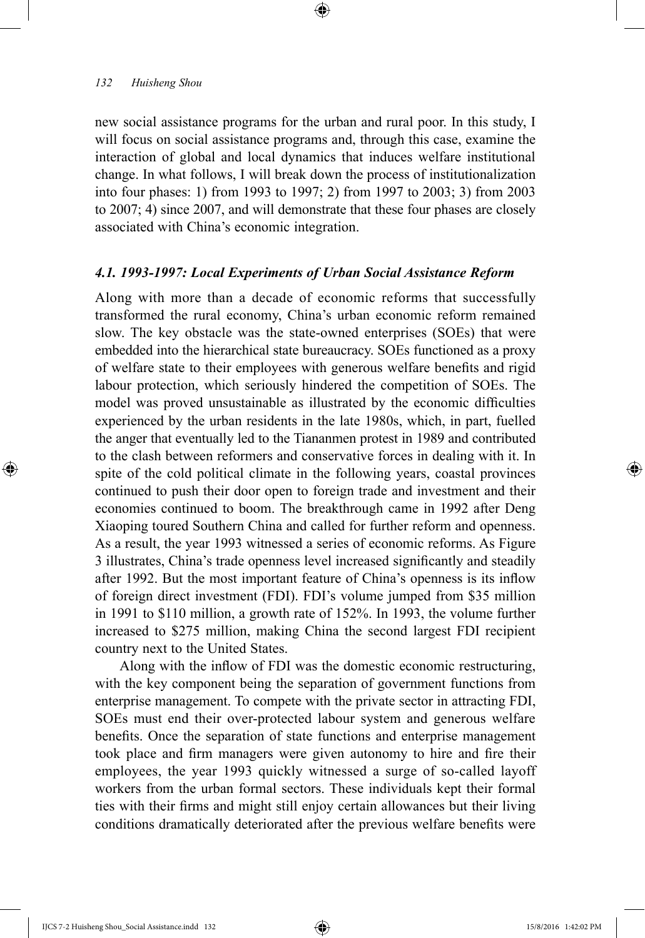new social assistance programs for the urban and rural poor. In this study, I will focus on social assistance programs and, through this case, examine the interaction of global and local dynamics that induces welfare institutional change. In what follows, I will break down the process of institutionalization into four phases: 1) from 1993 to 1997; 2) from 1997 to 2003; 3) from 2003 to 2007; 4) since 2007, and will demonstrate that these four phases are closely associated with China's economic integration.

⊕

#### *4.1. 1993-1997: Local Experiments of Urban Social Assistance Reform*

Along with more than a decade of economic reforms that successfully transformed the rural economy, China's urban economic reform remained slow. The key obstacle was the state-owned enterprises (SOEs) that were embedded into the hierarchical state bureaucracy. SOEs functioned as a proxy of welfare state to their employees with generous welfare benefits and rigid labour protection, which seriously hindered the competition of SOEs. The model was proved unsustainable as illustrated by the economic difficulties experienced by the urban residents in the late 1980s, which, in part, fuelled the anger that eventually led to the Tiananmen protest in 1989 and contributed to the clash between reformers and conservative forces in dealing with it. In spite of the cold political climate in the following years, coastal provinces continued to push their door open to foreign trade and investment and their economies continued to boom. The breakthrough came in 1992 after Deng Xiaoping toured Southern China and called for further reform and openness. As a result, the year 1993 witnessed a series of economic reforms. As Figure 3 illustrates, China's trade openness level increased significantly and steadily after 1992. But the most important feature of China's openness is its inflow of foreign direct investment (FDI). FDI's volume jumped from \$35 million in 1991 to \$110 million, a growth rate of 152%. In 1993, the volume further increased to \$275 million, making China the second largest FDI recipient country next to the United States.

Along with the inflow of FDI was the domestic economic restructuring, with the key component being the separation of government functions from enterprise management. To compete with the private sector in attracting FDI, SOEs must end their over-protected labour system and generous welfare benefits. Once the separation of state functions and enterprise management took place and firm managers were given autonomy to hire and fire their employees, the year 1993 quickly witnessed a surge of so-called layoff workers from the urban formal sectors. These individuals kept their formal ties with their firms and might still enjoy certain allowances but their living conditions dramatically deteriorated after the previous welfare benefits were

IJCS 7-2 Huisheng Shou\_Social Assistance.indd 132 15/8/2016 1:42:02 PM

⊕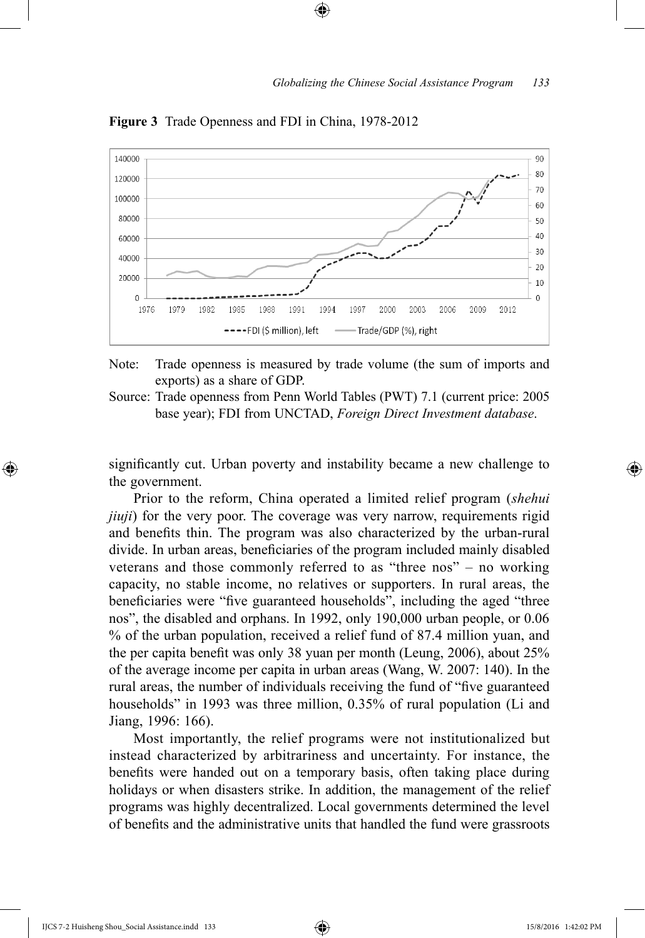

⊕

**Figure 3** Trade Openness and FDI in China, 1978-2012

Note: Trade openness is measured by trade volume (the sum of imports and exports) as a share of GDP.

Source: Trade openness from Penn World Tables (PWT) 7.1 (current price: 2005 base year); FDI from UNCTAD, *Foreign Direct Investment database*.

significantly cut. Urban poverty and instability became a new challenge to the government.

Prior to the reform, China operated a limited relief program (*shehui jiuji*) for the very poor. The coverage was very narrow, requirements rigid and benefits thin. The program was also characterized by the urban-rural divide. In urban areas, beneficiaries of the program included mainly disabled veterans and those commonly referred to as "three nos" – no working capacity, no stable income, no relatives or supporters. In rural areas, the beneficiaries were "five guaranteed households", including the aged "three nos", the disabled and orphans. In 1992, only 190,000 urban people, or 0.06 % of the urban population, received a relief fund of 87.4 million yuan, and the per capita benefit was only 38 yuan per month (Leung, 2006), about 25% of the average income per capita in urban areas (Wang, W. 2007: 140). In the rural areas, the number of individuals receiving the fund of "five guaranteed households" in 1993 was three million, 0.35% of rural population (Li and Jiang, 1996: 166).

Most importantly, the relief programs were not institutionalized but instead characterized by arbitrariness and uncertainty. For instance, the benefits were handed out on a temporary basis, often taking place during holidays or when disasters strike. In addition, the management of the relief programs was highly decentralized. Local governments determined the level of benefits and the administrative units that handled the fund were grassroots

⊕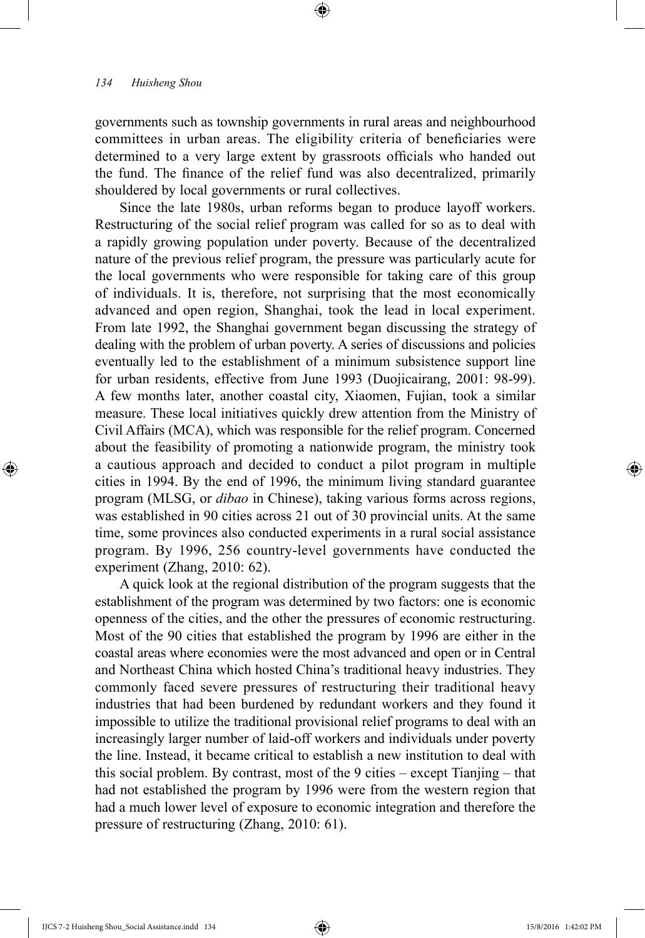governments such as township governments in rural areas and neighbourhood committees in urban areas. The eligibility criteria of beneficiaries were determined to a very large extent by grassroots officials who handed out the fund. The finance of the relief fund was also decentralized, primarily shouldered by local governments or rural collectives.

⊕

Since the late 1980s, urban reforms began to produce layoff workers. Restructuring of the social relief program was called for so as to deal with a rapidly growing population under poverty. Because of the decentralized nature of the previous relief program, the pressure was particularly acute for the local governments who were responsible for taking care of this group of individuals. It is, therefore, not surprising that the most economically advanced and open region, Shanghai, took the lead in local experiment. From late 1992, the Shanghai government began discussing the strategy of dealing with the problem of urban poverty. A series of discussions and policies eventually led to the establishment of a minimum subsistence support line for urban residents, effective from June 1993 (Duojicairang, 2001: 98-99). A few months later, another coastal city, Xiaomen, Fujian, took a similar measure. These local initiatives quickly drew attention from the Ministry of Civil Affairs (MCA), which was responsible for the relief program. Concerned about the feasibility of promoting a nationwide program, the ministry took a cautious approach and decided to conduct a pilot program in multiple cities in 1994. By the end of 1996, the minimum living standard guarantee program (MLSG, or *dibao* in Chinese), taking various forms across regions, was established in 90 cities across 21 out of 30 provincial units. At the same time, some provinces also conducted experiments in a rural social assistance program. By 1996, 256 country-level governments have conducted the experiment (Zhang, 2010: 62).

A quick look at the regional distribution of the program suggests that the establishment of the program was determined by two factors: one is economic openness of the cities, and the other the pressures of economic restructuring. Most of the 90 cities that established the program by 1996 are either in the coastal areas where economies were the most advanced and open or in Central and Northeast China which hosted China's traditional heavy industries. They commonly faced severe pressures of restructuring their traditional heavy industries that had been burdened by redundant workers and they found it impossible to utilize the traditional provisional relief programs to deal with an increasingly larger number of laid-off workers and individuals under poverty the line. Instead, it became critical to establish a new institution to deal with this social problem. By contrast, most of the 9 cities – except Tianjing – that had not established the program by 1996 were from the western region that had a much lower level of exposure to economic integration and therefore the pressure of restructuring (Zhang, 2010: 61).

IJCS 7-2 Huisheng Shou\_Social Assistance.indd 134 15/8/2016 1:42:02 PM

⊕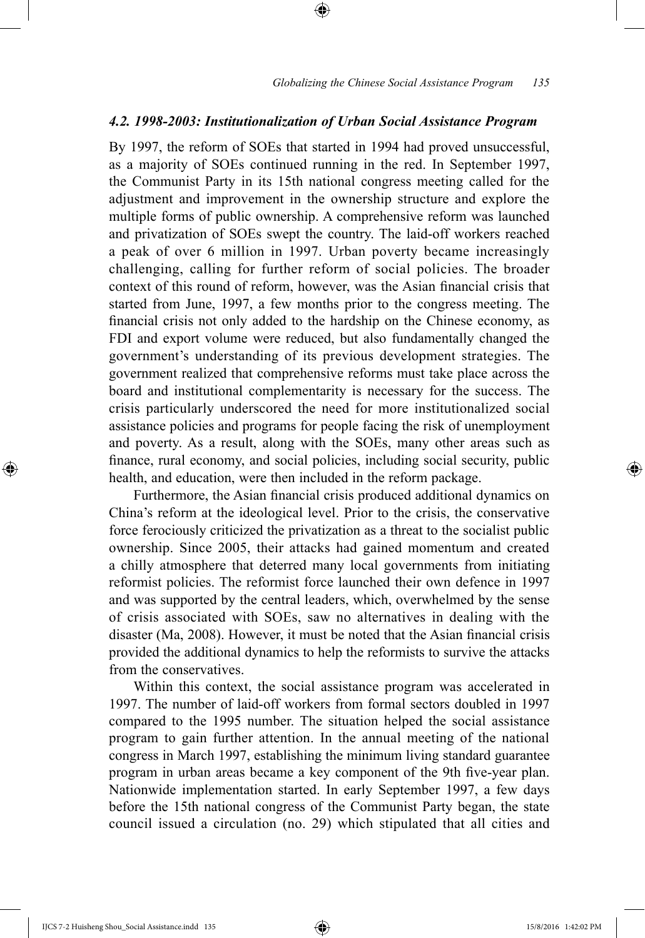#### *4.2. 1998-2003: Institutionalization of Urban Social Assistance Program*

⊕

By 1997, the reform of SOEs that started in 1994 had proved unsuccessful, as a majority of SOEs continued running in the red. In September 1997, the Communist Party in its 15th national congress meeting called for the adjustment and improvement in the ownership structure and explore the multiple forms of public ownership. A comprehensive reform was launched and privatization of SOEs swept the country. The laid-off workers reached a peak of over 6 million in 1997. Urban poverty became increasingly challenging, calling for further reform of social policies. The broader context of this round of reform, however, was the Asian financial crisis that started from June, 1997, a few months prior to the congress meeting. The financial crisis not only added to the hardship on the Chinese economy, as FDI and export volume were reduced, but also fundamentally changed the government's understanding of its previous development strategies. The government realized that comprehensive reforms must take place across the board and institutional complementarity is necessary for the success. The crisis particularly underscored the need for more institutionalized social assistance policies and programs for people facing the risk of unemployment and poverty. As a result, along with the SOEs, many other areas such as finance, rural economy, and social policies, including social security, public health, and education, were then included in the reform package.

Furthermore, the Asian financial crisis produced additional dynamics on China's reform at the ideological level. Prior to the crisis, the conservative force ferociously criticized the privatization as a threat to the socialist public ownership. Since 2005, their attacks had gained momentum and created a chilly atmosphere that deterred many local governments from initiating reformist policies. The reformist force launched their own defence in 1997 and was supported by the central leaders, which, overwhelmed by the sense of crisis associated with SOEs, saw no alternatives in dealing with the disaster (Ma, 2008). However, it must be noted that the Asian financial crisis provided the additional dynamics to help the reformists to survive the attacks from the conservatives.

Within this context, the social assistance program was accelerated in 1997. The number of laid-off workers from formal sectors doubled in 1997 compared to the 1995 number. The situation helped the social assistance program to gain further attention. In the annual meeting of the national congress in March 1997, establishing the minimum living standard guarantee program in urban areas became a key component of the 9th five-year plan. Nationwide implementation started. In early September 1997, a few days before the 15th national congress of the Communist Party began, the state council issued a circulation (no. 29) which stipulated that all cities and

IJCS 7-2 Huisheng Shou\_Social Assistance.indd 135 15/8/2016 1:42:02 PM

 $\bigoplus$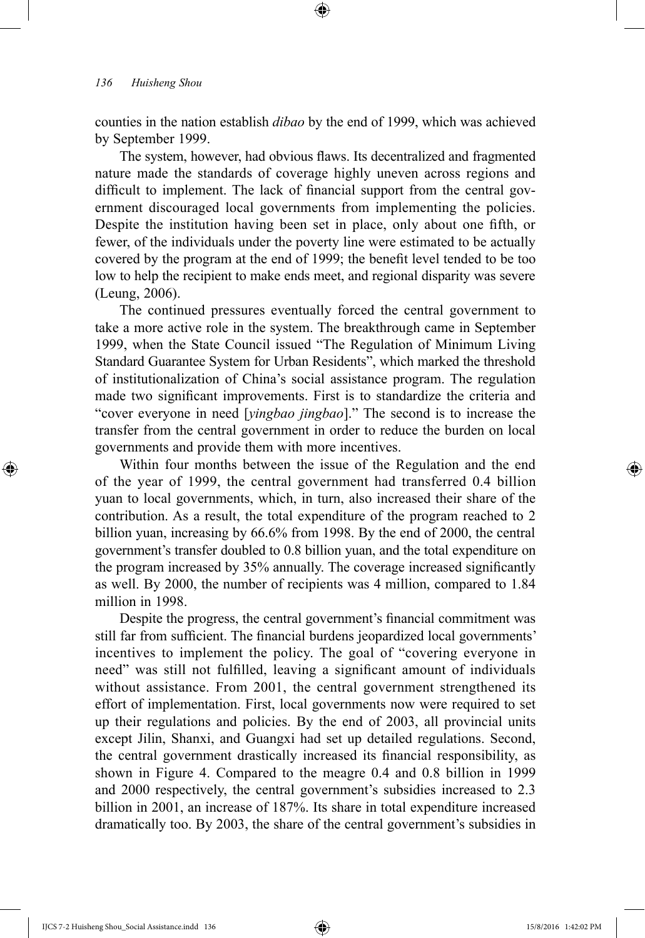counties in the nation establish *dibao* by the end of 1999, which was achieved by September 1999.

⊕

The system, however, had obvious flaws. Its decentralized and fragmented nature made the standards of coverage highly uneven across regions and difficult to implement. The lack of financial support from the central government discouraged local governments from implementing the policies. Despite the institution having been set in place, only about one fifth, or fewer, of the individuals under the poverty line were estimated to be actually covered by the program at the end of 1999; the benefit level tended to be too low to help the recipient to make ends meet, and regional disparity was severe (Leung, 2006).

The continued pressures eventually forced the central government to take a more active role in the system. The breakthrough came in September 1999, when the State Council issued "The Regulation of Minimum Living Standard Guarantee System for Urban Residents", which marked the threshold of institutionalization of China's social assistance program. The regulation made two significant improvements. First is to standardize the criteria and "cover everyone in need [*yingbao jingbao*]." The second is to increase the transfer from the central government in order to reduce the burden on local governments and provide them with more incentives.

Within four months between the issue of the Regulation and the end of the year of 1999, the central government had transferred 0.4 billion yuan to local governments, which, in turn, also increased their share of the contribution. As a result, the total expenditure of the program reached to 2 billion yuan, increasing by 66.6% from 1998. By the end of 2000, the central government's transfer doubled to 0.8 billion yuan, and the total expenditure on the program increased by 35% annually. The coverage increased significantly as well. By 2000, the number of recipients was 4 million, compared to 1.84 million in 1998.

Despite the progress, the central government's financial commitment was still far from sufficient. The financial burdens jeopardized local governments' incentives to implement the policy. The goal of "covering everyone in need" was still not fulfilled, leaving a significant amount of individuals without assistance. From 2001, the central government strengthened its effort of implementation. First, local governments now were required to set up their regulations and policies. By the end of 2003, all provincial units except Jilin, Shanxi, and Guangxi had set up detailed regulations. Second, the central government drastically increased its financial responsibility, as shown in Figure 4. Compared to the meagre 0.4 and 0.8 billion in 1999 and 2000 respectively, the central government's subsidies increased to 2.3 billion in 2001, an increase of 187%. Its share in total expenditure increased dramatically too. By 2003, the share of the central government's subsidies in

⊕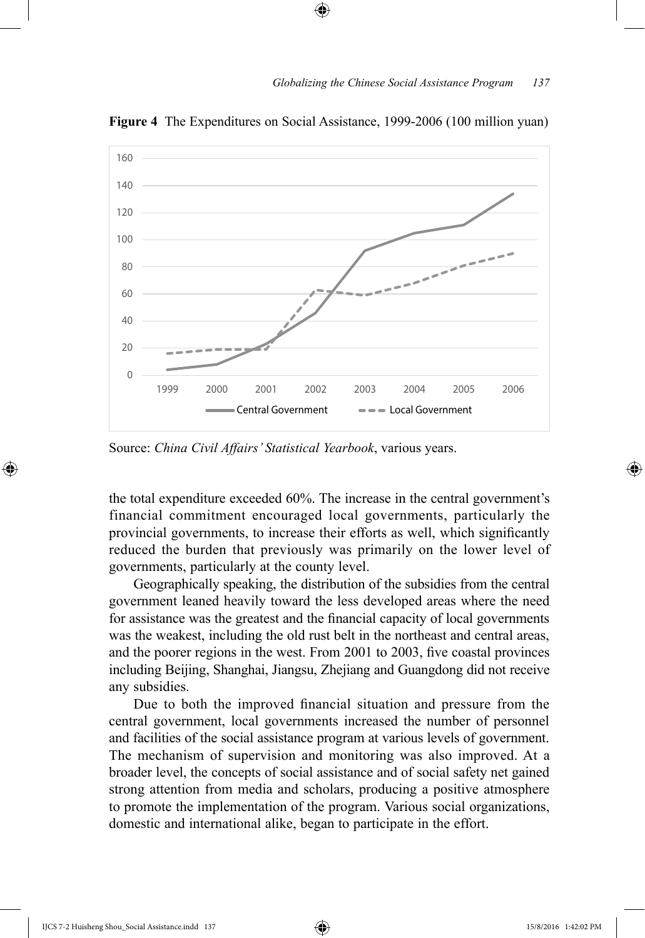

**Figure 4** The Expenditures on Social Assistance, 1999-2006 (100 million yuan)

⊕

Source: *China Civil Affairs' Statistical Yearbook*, various years.

the total expenditure exceeded 60%. The increase in the central government's financial commitment encouraged local governments, particularly the provincial governments, to increase their efforts as well, which significantly reduced the burden that previously was primarily on the lower level of governments, particularly at the county level.

Geographically speaking, the distribution of the subsidies from the central government leaned heavily toward the less developed areas where the need for assistance was the greatest and the financial capacity of local governments was the weakest, including the old rust belt in the northeast and central areas, and the poorer regions in the west. From 2001 to 2003, five coastal provinces including Beijing, Shanghai, Jiangsu, Zhejiang and Guangdong did not receive any subsidies.

Due to both the improved financial situation and pressure from the central government, local governments increased the number of personnel and facilities of the social assistance program at various levels of government. The mechanism of supervision and monitoring was also improved. At a broader level, the concepts of social assistance and of social safety net gained strong attention from media and scholars, producing a positive atmosphere to promote the implementation of the program. Various social organizations, domestic and international alike, began to participate in the effort.

⊕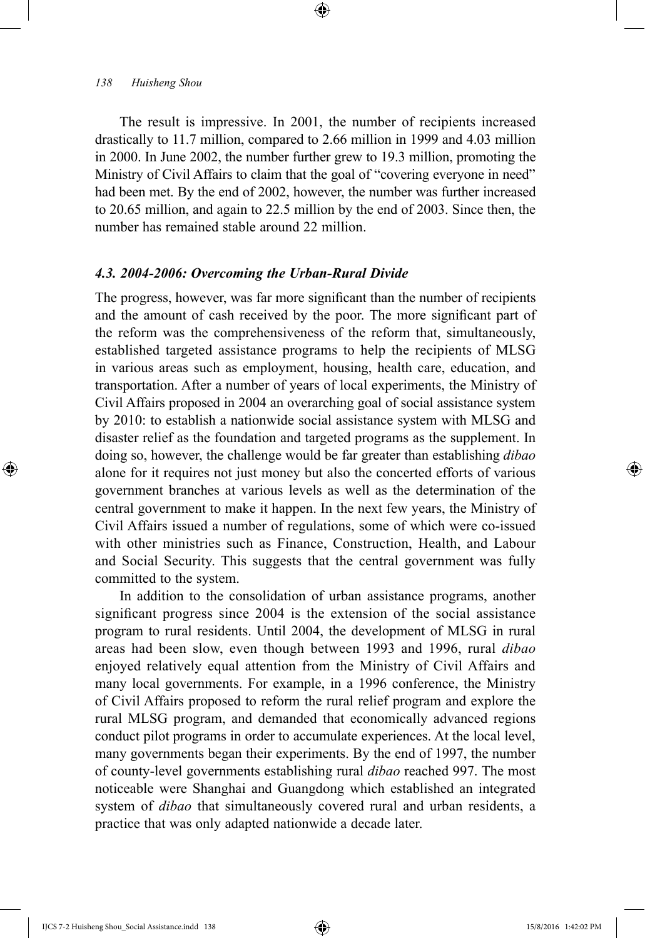The result is impressive. In 2001, the number of recipients increased drastically to 11.7 million, compared to 2.66 million in 1999 and 4.03 million in 2000. In June 2002, the number further grew to 19.3 million, promoting the Ministry of Civil Affairs to claim that the goal of "covering everyone in need" had been met. By the end of 2002, however, the number was further increased to 20.65 million, and again to 22.5 million by the end of 2003. Since then, the number has remained stable around 22 million.

⊕

# *4.3. 2004-2006: Overcoming the Urban-Rural Divide*

The progress, however, was far more significant than the number of recipients and the amount of cash received by the poor. The more significant part of the reform was the comprehensiveness of the reform that, simultaneously, established targeted assistance programs to help the recipients of MLSG in various areas such as employment, housing, health care, education, and transportation. After a number of years of local experiments, the Ministry of Civil Affairs proposed in 2004 an overarching goal of social assistance system by 2010: to establish a nationwide social assistance system with MLSG and disaster relief as the foundation and targeted programs as the supplement. In doing so, however, the challenge would be far greater than establishing *dibao* alone for it requires not just money but also the concerted efforts of various government branches at various levels as well as the determination of the central government to make it happen. In the next few years, the Ministry of Civil Affairs issued a number of regulations, some of which were co-issued with other ministries such as Finance, Construction, Health, and Labour and Social Security. This suggests that the central government was fully committed to the system.

In addition to the consolidation of urban assistance programs, another significant progress since 2004 is the extension of the social assistance program to rural residents. Until 2004, the development of MLSG in rural areas had been slow, even though between 1993 and 1996, rural *dibao* enjoyed relatively equal attention from the Ministry of Civil Affairs and many local governments. For example, in a 1996 conference, the Ministry of Civil Affairs proposed to reform the rural relief program and explore the rural MLSG program, and demanded that economically advanced regions conduct pilot programs in order to accumulate experiences. At the local level, many governments began their experiments. By the end of 1997, the number of county-level governments establishing rural *dibao* reached 997. The most noticeable were Shanghai and Guangdong which established an integrated system of *dibao* that simultaneously covered rural and urban residents, a practice that was only adapted nationwide a decade later.

⊕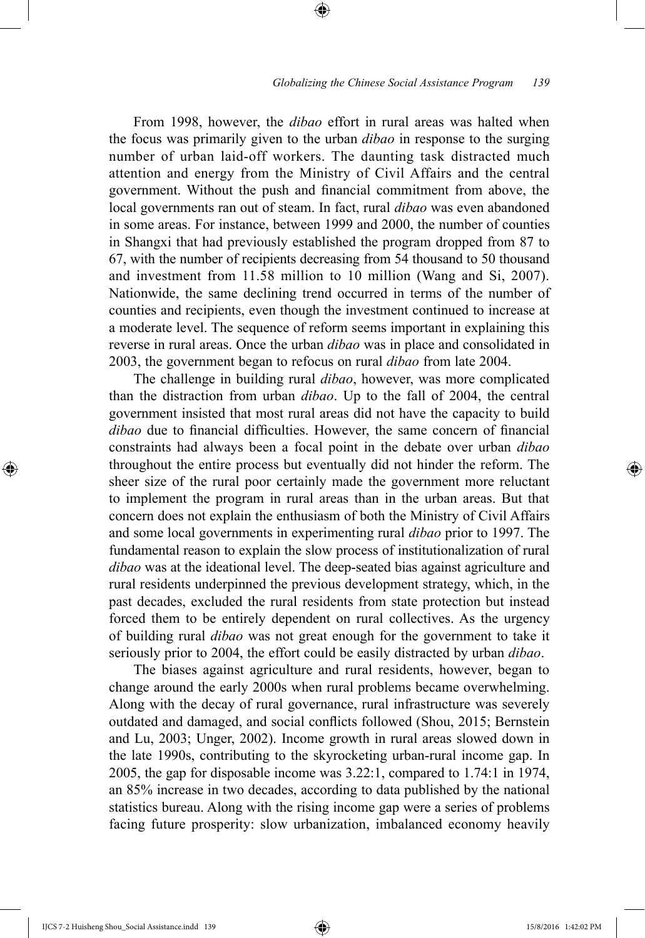From 1998, however, the *dibao* effort in rural areas was halted when the focus was primarily given to the urban *dibao* in response to the surging number of urban laid-off workers. The daunting task distracted much attention and energy from the Ministry of Civil Affairs and the central government. Without the push and financial commitment from above, the local governments ran out of steam. In fact, rural *dibao* was even abandoned in some areas. For instance, between 1999 and 2000, the number of counties in Shangxi that had previously established the program dropped from 87 to 67, with the number of recipients decreasing from 54 thousand to 50 thousand and investment from 11.58 million to 10 million (Wang and Si, 2007). Nationwide, the same declining trend occurred in terms of the number of counties and recipients, even though the investment continued to increase at a moderate level. The sequence of reform seems important in explaining this reverse in rural areas. Once the urban *dibao* was in place and consolidated in 2003, the government began to refocus on rural *dibao* from late 2004.

⊕

The challenge in building rural *dibao*, however, was more complicated than the distraction from urban *dibao*. Up to the fall of 2004, the central government insisted that most rural areas did not have the capacity to build *dibao* due to financial difficulties. However, the same concern of financial constraints had always been a focal point in the debate over urban *dibao* throughout the entire process but eventually did not hinder the reform. The sheer size of the rural poor certainly made the government more reluctant to implement the program in rural areas than in the urban areas. But that concern does not explain the enthusiasm of both the Ministry of Civil Affairs and some local governments in experimenting rural *dibao* prior to 1997. The fundamental reason to explain the slow process of institutionalization of rural *dibao* was at the ideational level. The deep-seated bias against agriculture and rural residents underpinned the previous development strategy, which, in the past decades, excluded the rural residents from state protection but instead forced them to be entirely dependent on rural collectives. As the urgency of building rural *dibao* was not great enough for the government to take it seriously prior to 2004, the effort could be easily distracted by urban *dibao*.

The biases against agriculture and rural residents, however, began to change around the early 2000s when rural problems became overwhelming. Along with the decay of rural governance, rural infrastructure was severely outdated and damaged, and social conflicts followed (Shou, 2015; Bernstein and Lu, 2003; Unger, 2002). Income growth in rural areas slowed down in the late 1990s, contributing to the skyrocketing urban-rural income gap. In 2005, the gap for disposable income was 3.22:1, compared to 1.74:1 in 1974, an 85% increase in two decades, according to data published by the national statistics bureau. Along with the rising income gap were a series of problems facing future prosperity: slow urbanization, imbalanced economy heavily

IJCS 7-2 Huisheng Shou\_Social Assistance.indd 139 15/8/2016 1:42:02 PM

 $\bigoplus$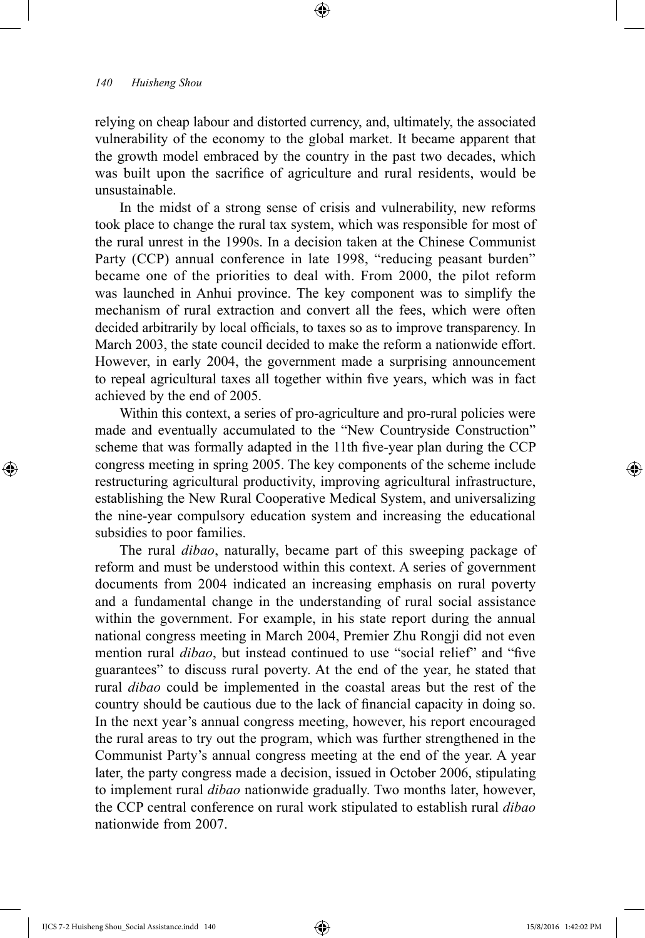relying on cheap labour and distorted currency, and, ultimately, the associated vulnerability of the economy to the global market. It became apparent that the growth model embraced by the country in the past two decades, which was built upon the sacrifice of agriculture and rural residents, would be unsustainable.

⊕

In the midst of a strong sense of crisis and vulnerability, new reforms took place to change the rural tax system, which was responsible for most of the rural unrest in the 1990s. In a decision taken at the Chinese Communist Party (CCP) annual conference in late 1998, "reducing peasant burden" became one of the priorities to deal with. From 2000, the pilot reform was launched in Anhui province. The key component was to simplify the mechanism of rural extraction and convert all the fees, which were often decided arbitrarily by local officials, to taxes so as to improve transparency. In March 2003, the state council decided to make the reform a nationwide effort. However, in early 2004, the government made a surprising announcement to repeal agricultural taxes all together within five years, which was in fact achieved by the end of 2005.

Within this context, a series of pro-agriculture and pro-rural policies were made and eventually accumulated to the "New Countryside Construction" scheme that was formally adapted in the 11th five-year plan during the CCP congress meeting in spring 2005. The key components of the scheme include restructuring agricultural productivity, improving agricultural infrastructure, establishing the New Rural Cooperative Medical System, and universalizing the nine-year compulsory education system and increasing the educational subsidies to poor families.

The rural *dibao*, naturally, became part of this sweeping package of reform and must be understood within this context. A series of government documents from 2004 indicated an increasing emphasis on rural poverty and a fundamental change in the understanding of rural social assistance within the government. For example, in his state report during the annual national congress meeting in March 2004, Premier Zhu Rongji did not even mention rural *dibao*, but instead continued to use "social relief" and "five guarantees" to discuss rural poverty. At the end of the year, he stated that rural *dibao* could be implemented in the coastal areas but the rest of the country should be cautious due to the lack of financial capacity in doing so. In the next year's annual congress meeting, however, his report encouraged the rural areas to try out the program, which was further strengthened in the Communist Party's annual congress meeting at the end of the year. A year later, the party congress made a decision, issued in October 2006, stipulating to implement rural *dibao* nationwide gradually. Two months later, however, the CCP central conference on rural work stipulated to establish rural *dibao* nationwide from 2007.

IJCS 7-2 Huisheng Shou\_Social Assistance.indd 140 15/8/2016 1:42:02 PM

⊕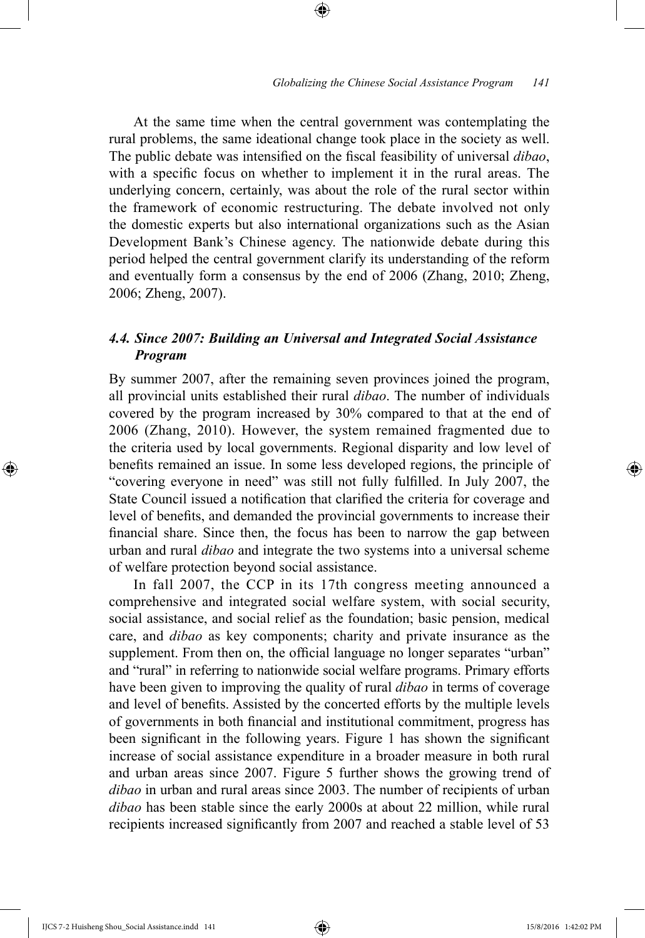At the same time when the central government was contemplating the rural problems, the same ideational change took place in the society as well. The public debate was intensified on the fiscal feasibility of universal *dibao*, with a specific focus on whether to implement it in the rural areas. The underlying concern, certainly, was about the role of the rural sector within the framework of economic restructuring. The debate involved not only the domestic experts but also international organizations such as the Asian Development Bank's Chinese agency. The nationwide debate during this period helped the central government clarify its understanding of the reform and eventually form a consensus by the end of 2006 (Zhang, 2010; Zheng, 2006; Zheng, 2007).

⊕

# *4.4. Since 2007: Building an Universal and Integrated Social Assistance Program*

By summer 2007, after the remaining seven provinces joined the program, all provincial units established their rural *dibao*. The number of individuals covered by the program increased by 30% compared to that at the end of 2006 (Zhang, 2010). However, the system remained fragmented due to the criteria used by local governments. Regional disparity and low level of benefits remained an issue. In some less developed regions, the principle of "covering everyone in need" was still not fully fulfilled. In July 2007, the State Council issued a notification that clarified the criteria for coverage and level of benefits, and demanded the provincial governments to increase their financial share. Since then, the focus has been to narrow the gap between urban and rural *dibao* and integrate the two systems into a universal scheme of welfare protection beyond social assistance.

In fall 2007, the CCP in its 17th congress meeting announced a comprehensive and integrated social welfare system, with social security, social assistance, and social relief as the foundation; basic pension, medical care, and *dibao* as key components; charity and private insurance as the supplement. From then on, the official language no longer separates "urban" and "rural" in referring to nationwide social welfare programs. Primary efforts have been given to improving the quality of rural *dibao* in terms of coverage and level of benefits. Assisted by the concerted efforts by the multiple levels of governments in both financial and institutional commitment, progress has been significant in the following years. Figure 1 has shown the significant increase of social assistance expenditure in a broader measure in both rural and urban areas since 2007. Figure 5 further shows the growing trend of *dibao* in urban and rural areas since 2003. The number of recipients of urban *dibao* has been stable since the early 2000s at about 22 million, while rural recipients increased significantly from 2007 and reached a stable level of 53

IJCS 7-2 Huisheng Shou\_Social Assistance.indd 141 15/8/2016 1:42:02 PM

⊕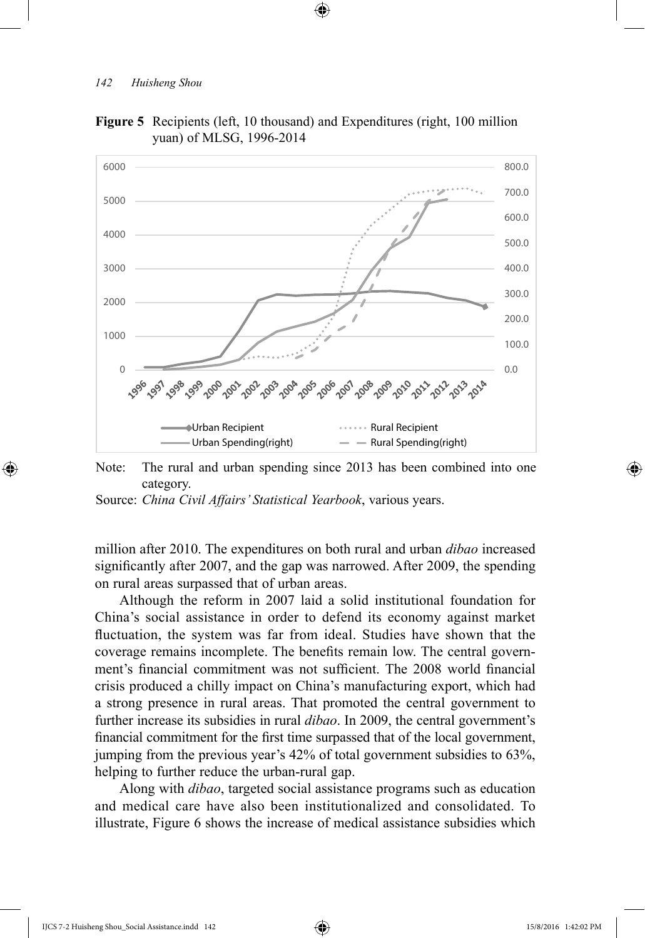

**Figure 5** Recipients (left, 10 thousand) and Expenditures (right, 100 million yuan) of MLSG, 1996-2014

⊕

Note: The rural and urban spending since 2013 has been combined into one category.

Source: *China Civil Affairs' Statistical Yearbook*, various years.

million after 2010. The expenditures on both rural and urban *dibao* increased significantly after 2007, and the gap was narrowed. After 2009, the spending on rural areas surpassed that of urban areas.

Although the reform in 2007 laid a solid institutional foundation for China's social assistance in order to defend its economy against market fluctuation, the system was far from ideal. Studies have shown that the coverage remains incomplete. The benefits remain low. The central government's financial commitment was not sufficient. The 2008 world financial crisis produced a chilly impact on China's manufacturing export, which had a strong presence in rural areas. That promoted the central government to further increase its subsidies in rural *dibao*. In 2009, the central government's financial commitment for the first time surpassed that of the local government, jumping from the previous year's 42% of total government subsidies to 63%, helping to further reduce the urban-rural gap.

Along with *dibao*, targeted social assistance programs such as education and medical care have also been institutionalized and consolidated. To illustrate, Figure 6 shows the increase of medical assistance subsidies which

IJCS 7-2 Huisheng Shou\_Social Assistance.indd 142 15/8/2016 1:42:02 PM

⊕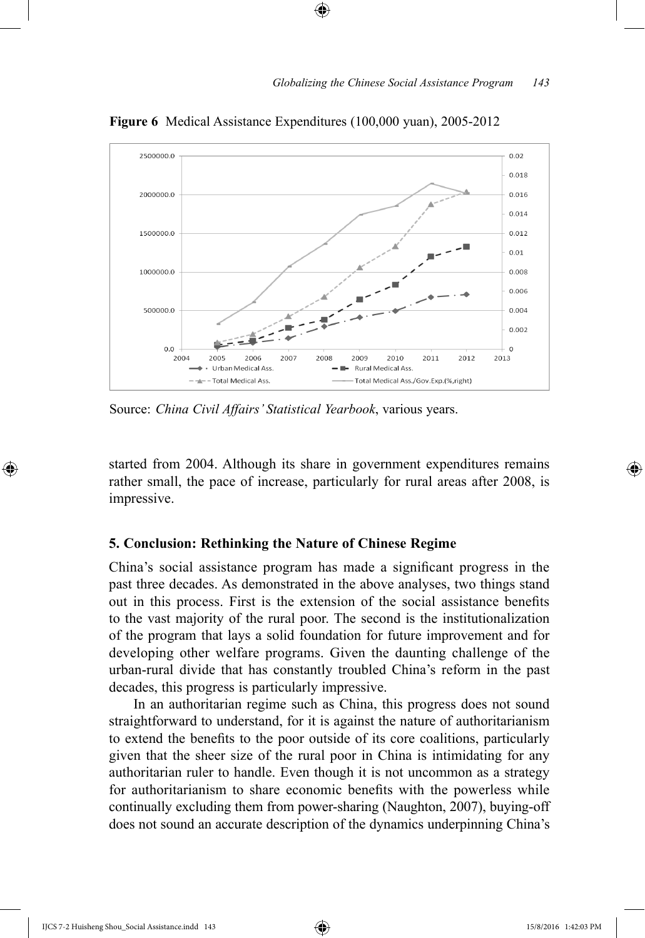

**Figure 6** Medical Assistance Expenditures (100,000 yuan), 2005-2012

⊕

Source: *China Civil Affairs' Statistical Yearbook*, various years.

started from 2004. Although its share in government expenditures remains rather small, the pace of increase, particularly for rural areas after 2008, is impressive.

## **5. Conclusion: Rethinking the Nature of Chinese Regime**

China's social assistance program has made a significant progress in the past three decades. As demonstrated in the above analyses, two things stand out in this process. First is the extension of the social assistance benefits to the vast majority of the rural poor. The second is the institutionalization of the program that lays a solid foundation for future improvement and for developing other welfare programs. Given the daunting challenge of the urban-rural divide that has constantly troubled China's reform in the past decades, this progress is particularly impressive.

In an authoritarian regime such as China, this progress does not sound straightforward to understand, for it is against the nature of authoritarianism to extend the benefits to the poor outside of its core coalitions, particularly given that the sheer size of the rural poor in China is intimidating for any authoritarian ruler to handle. Even though it is not uncommon as a strategy for authoritarianism to share economic benefits with the powerless while continually excluding them from power-sharing (Naughton, 2007), buying-off does not sound an accurate description of the dynamics underpinning China's

IJCS 7-2 Huisheng Shou\_Social Assistance.indd 143 15/8/2016 1:42:03 PM

⊕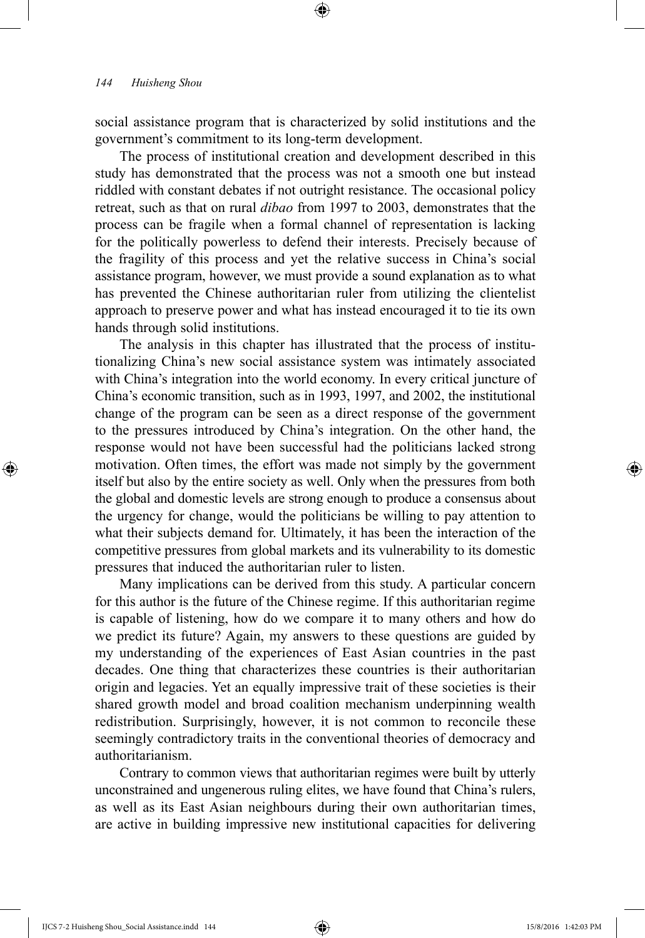social assistance program that is characterized by solid institutions and the government's commitment to its long-term development.

⊕

The process of institutional creation and development described in this study has demonstrated that the process was not a smooth one but instead riddled with constant debates if not outright resistance. The occasional policy retreat, such as that on rural *dibao* from 1997 to 2003, demonstrates that the process can be fragile when a formal channel of representation is lacking for the politically powerless to defend their interests. Precisely because of the fragility of this process and yet the relative success in China's social assistance program, however, we must provide a sound explanation as to what has prevented the Chinese authoritarian ruler from utilizing the clientelist approach to preserve power and what has instead encouraged it to tie its own hands through solid institutions.

The analysis in this chapter has illustrated that the process of institutionalizing China's new social assistance system was intimately associated with China's integration into the world economy. In every critical juncture of China's economic transition, such as in 1993, 1997, and 2002, the institutional change of the program can be seen as a direct response of the government to the pressures introduced by China's integration. On the other hand, the response would not have been successful had the politicians lacked strong motivation. Often times, the effort was made not simply by the government itself but also by the entire society as well. Only when the pressures from both the global and domestic levels are strong enough to produce a consensus about the urgency for change, would the politicians be willing to pay attention to what their subjects demand for. Ultimately, it has been the interaction of the competitive pressures from global markets and its vulnerability to its domestic pressures that induced the authoritarian ruler to listen.

Many implications can be derived from this study. A particular concern for this author is the future of the Chinese regime. If this authoritarian regime is capable of listening, how do we compare it to many others and how do we predict its future? Again, my answers to these questions are guided by my understanding of the experiences of East Asian countries in the past decades. One thing that characterizes these countries is their authoritarian origin and legacies. Yet an equally impressive trait of these societies is their shared growth model and broad coalition mechanism underpinning wealth redistribution. Surprisingly, however, it is not common to reconcile these seemingly contradictory traits in the conventional theories of democracy and authoritarianism.

Contrary to common views that authoritarian regimes were built by utterly unconstrained and ungenerous ruling elites, we have found that China's rulers, as well as its East Asian neighbours during their own authoritarian times, are active in building impressive new institutional capacities for delivering

IJCS 7-2 Huisheng Shou\_Social Assistance.indd 144 15/8/2016 1:42:03 PM

⊕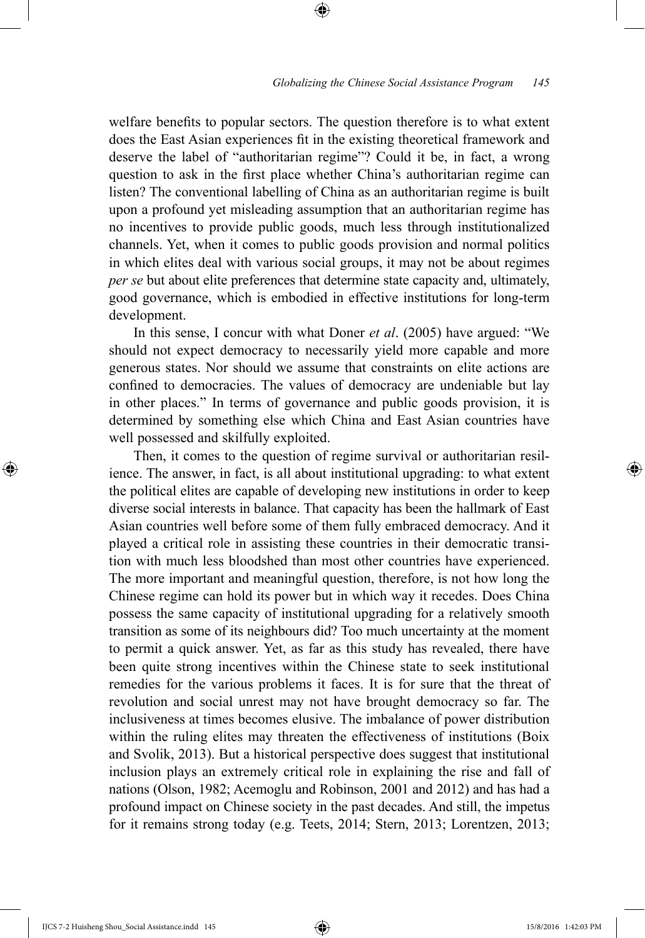welfare benefits to popular sectors. The question therefore is to what extent does the East Asian experiences fit in the existing theoretical framework and deserve the label of "authoritarian regime"? Could it be, in fact, a wrong question to ask in the first place whether China's authoritarian regime can listen? The conventional labelling of China as an authoritarian regime is built upon a profound yet misleading assumption that an authoritarian regime has no incentives to provide public goods, much less through institutionalized channels. Yet, when it comes to public goods provision and normal politics in which elites deal with various social groups, it may not be about regimes *per se* but about elite preferences that determine state capacity and, ultimately, good governance, which is embodied in effective institutions for long-term development.

⊕

In this sense, I concur with what Doner *et al*. (2005) have argued: "We should not expect democracy to necessarily yield more capable and more generous states. Nor should we assume that constraints on elite actions are confined to democracies. The values of democracy are undeniable but lay in other places." In terms of governance and public goods provision, it is determined by something else which China and East Asian countries have well possessed and skilfully exploited.

Then, it comes to the question of regime survival or authoritarian resilience. The answer, in fact, is all about institutional upgrading: to what extent the political elites are capable of developing new institutions in order to keep diverse social interests in balance. That capacity has been the hallmark of East Asian countries well before some of them fully embraced democracy. And it played a critical role in assisting these countries in their democratic transition with much less bloodshed than most other countries have experienced. The more important and meaningful question, therefore, is not how long the Chinese regime can hold its power but in which way it recedes. Does China possess the same capacity of institutional upgrading for a relatively smooth transition as some of its neighbours did? Too much uncertainty at the moment to permit a quick answer. Yet, as far as this study has revealed, there have been quite strong incentives within the Chinese state to seek institutional remedies for the various problems it faces. It is for sure that the threat of revolution and social unrest may not have brought democracy so far. The inclusiveness at times becomes elusive. The imbalance of power distribution within the ruling elites may threaten the effectiveness of institutions (Boix and Svolik, 2013). But a historical perspective does suggest that institutional inclusion plays an extremely critical role in explaining the rise and fall of nations (Olson, 1982; Acemoglu and Robinson, 2001 and 2012) and has had a profound impact on Chinese society in the past decades. And still, the impetus for it remains strong today (e.g. Teets, 2014; Stern, 2013; Lorentzen, 2013;

⊕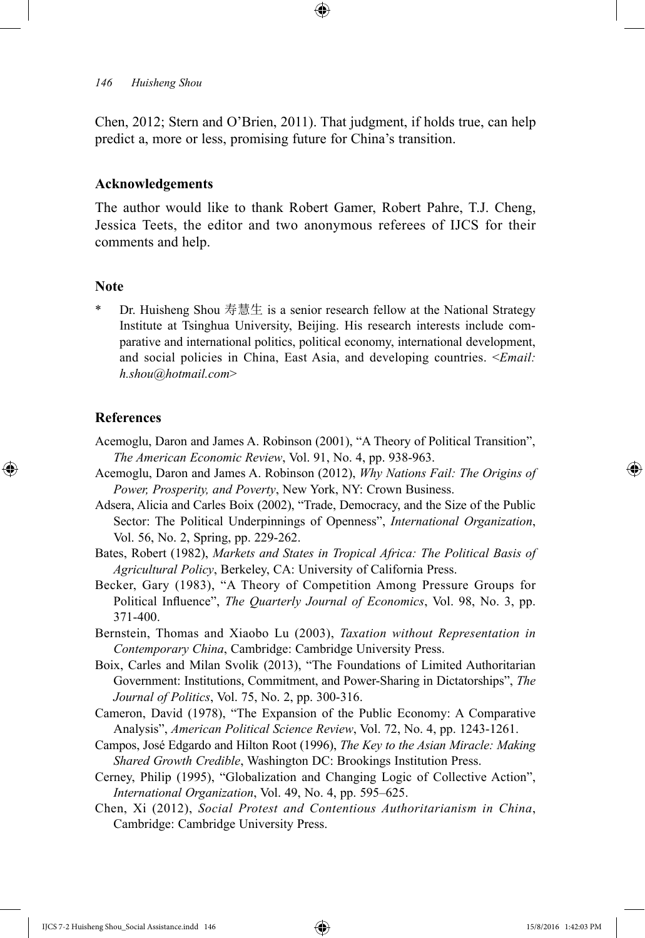Chen, 2012; Stern and O'Brien, 2011). That judgment, if holds true, can help predict a, more or less, promising future for China's transition.

## **Acknowledgements**

The author would like to thank Robert Gamer, Robert Pahre, T.J. Cheng, Jessica Teets, the editor and two anonymous referees of IJCS for their comments and help.

#### **Note**

\* Dr. Huisheng Shou 寿慧生 is a senior research fellow at the National Strategy Institute at Tsinghua University, Beijing. His research interests include comparative and international politics, political economy, international development, and social policies in China, East Asia, and developing countries. <*Email: h.shou@hotmail.com*>

## **References**

⊕

- Acemoglu, Daron and James A. Robinson (2001), "A Theory of Political Transition", *The American Economic Review*, Vol. 91, No. 4, pp. 938-963.
- Acemoglu, Daron and James A. Robinson (2012), *Why Nations Fail: The Origins of Power, Prosperity, and Poverty*, New York, NY: Crown Business.
- Adsera, Alicia and Carles Boix (2002), "Trade, Democracy, and the Size of the Public Sector: The Political Underpinnings of Openness", *International Organization*, Vol. 56, No. 2, Spring, pp. 229-262.
- Bates, Robert (1982), *Markets and States in Tropical Africa: The Political Basis of Agricultural Policy*, Berkeley, CA: University of California Press.
- Becker, Gary (1983), "A Theory of Competition Among Pressure Groups for Political Influence", *The Quarterly Journal of Economics*, Vol. 98, No. 3, pp. 371-400.
- Bernstein, Thomas and Xiaobo Lu (2003), *Taxation without Representation in Contemporary China*, Cambridge: Cambridge University Press.
- Boix, Carles and Milan Svolik (2013), "The Foundations of Limited Authoritarian Government: Institutions, Commitment, and Power-Sharing in Dictatorships", *The Journal of Politics*, Vol. 75, No. 2, pp. 300-316.
- Cameron, David (1978), "The Expansion of the Public Economy: A Comparative Analysis", *American Political Science Review*, Vol. 72, No. 4, pp. 1243-1261.
- Campos, José Edgardo and Hilton Root (1996), *The Key to the Asian Miracle: Making Shared Growth Credible*, Washington DC: Brookings Institution Press.
- Cerney, Philip (1995), "Globalization and Changing Logic of Collective Action", *International Organization*, Vol. 49, No. 4, pp. 595–625.
- Chen, Xi (2012), *Social Protest and Contentious Authoritarianism in China*, Cambridge: Cambridge University Press.

IJCS 7-2 Huisheng Shou\_Social Assistance.indd 146 15/8/2016 1:42:03 PM

↔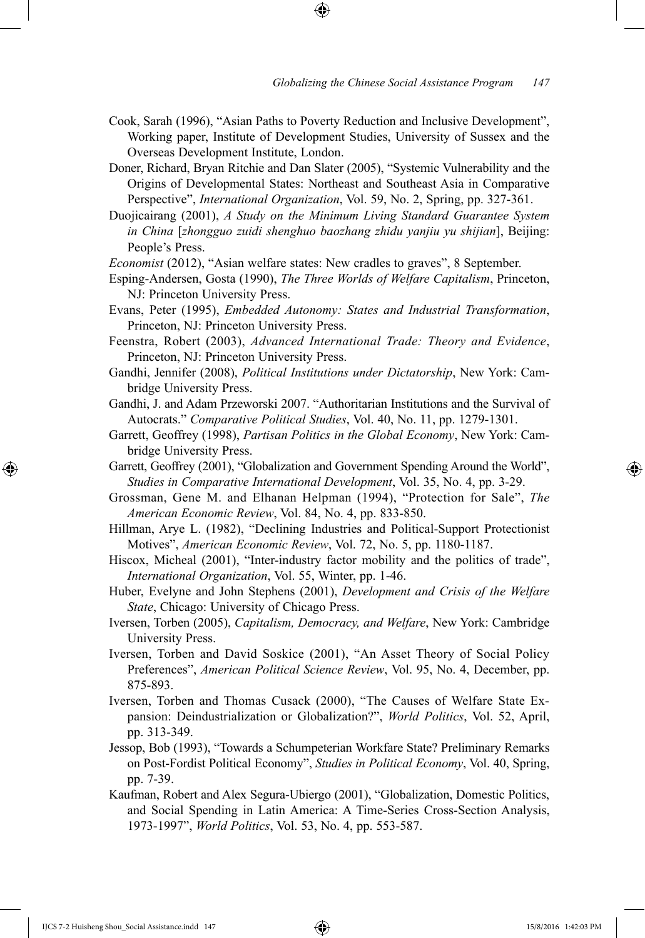- Cook, Sarah (1996), "Asian Paths to Poverty Reduction and Inclusive Development", Working paper, Institute of Development Studies, University of Sussex and the Overseas Development Institute, London.
- Doner, Richard, Bryan Ritchie and Dan Slater (2005), "Systemic Vulnerability and the Origins of Developmental States: Northeast and Southeast Asia in Comparative Perspective", *International Organization*, Vol. 59, No. 2, Spring, pp. 327-361.
- Duojicairang (2001), *A Study on the Minimum Living Standard Guarantee System in China* [*zhongguo zuidi shenghuo baozhang zhidu yanjiu yu shijian*], Beijing: People's Press.
- *Economist* (2012), "Asian welfare states: New cradles to graves", 8 September.
- Esping-Andersen, Gosta (1990), *The Three Worlds of Welfare Capitalism*, Princeton, NJ: Princeton University Press.
- Evans, Peter (1995), *Embedded Autonomy: States and Industrial Transformation*, Princeton, NJ: Princeton University Press.
- Feenstra, Robert (2003), *Advanced International Trade: Theory and Evidence*, Princeton, NJ: Princeton University Press.
- Gandhi, Jennifer (2008), *Political Institutions under Dictatorship*, New York: Cambridge University Press.
- Gandhi, J. and Adam Przeworski 2007. "Authoritarian Institutions and the Survival of Autocrats." *Comparative Political Studies*, Vol. 40, No. 11, pp. 1279-1301.
- Garrett, Geoffrey (1998), *Partisan Politics in the Global Economy*, New York: Cambridge University Press.
- Garrett, Geoffrey (2001), "Globalization and Government Spending Around the World", *Studies in Comparative International Development*, Vol. 35, No. 4, pp. 3-29.
- Grossman, Gene M. and Elhanan Helpman (1994), "Protection for Sale", *The American Economic Review*, Vol. 84, No. 4, pp. 833-850.
- Hillman, Arye L. (1982), "Declining Industries and Political-Support Protectionist Motives", *American Economic Review*, Vol. 72, No. 5, pp. 1180-1187.
- Hiscox, Micheal (2001), "Inter-industry factor mobility and the politics of trade", *International Organization*, Vol. 55, Winter, pp. 1-46.
- Huber, Evelyne and John Stephens (2001), *Development and Crisis of the Welfare State*, Chicago: University of Chicago Press.
- Iversen, Torben (2005), *Capitalism, Democracy, and Welfare*, New York: Cambridge University Press.
- Iversen, Torben and David Soskice (2001), "An Asset Theory of Social Policy Preferences", *American Political Science Review*, Vol. 95, No. 4, December, pp. 875-893.
- Iversen, Torben and Thomas Cusack (2000), "The Causes of Welfare State Expansion: Deindustrialization or Globalization?", *World Politics*, Vol. 52, April, pp. 313-349.
- Jessop, Bob (1993), "Towards a Schumpeterian Workfare State? Preliminary Remarks on Post-Fordist Political Economy", *Studies in Political Economy*, Vol. 40, Spring, pp. 7-39.
- Kaufman, Robert and Alex Segura-Ubiergo (2001), "Globalization, Domestic Politics, and Social Spending in Latin America: A Time-Series Cross-Section Analysis, 1973-1997", *World Politics*, Vol. 53, No. 4, pp. 553-587.

IJCS 7-2 Huisheng Shou\_Social Assistance.indd 147 15/8/2016 1:42:03 PM

⊕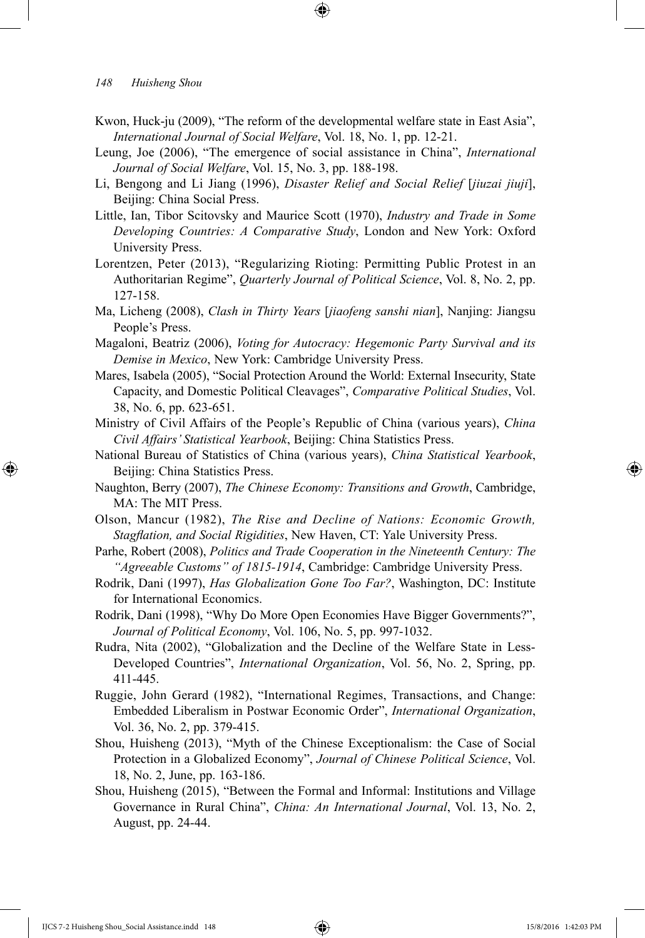- Kwon, Huck-ju (2009), "The reform of the developmental welfare state in East Asia", *International Journal of Social Welfare*, Vol. 18, No. 1, pp. 12-21.
- Leung, Joe (2006), "The emergence of social assistance in China", *International Journal of Social Welfare*, Vol. 15, No. 3, pp. 188-198.
- Li, Bengong and Li Jiang (1996), *Disaster Relief and Social Relief* [*jiuzai jiuji*], Beijing: China Social Press.
- Little, Ian, Tibor Scitovsky and Maurice Scott (1970), *Industry and Trade in Some Developing Countries: A Comparative Study*, London and New York: Oxford University Press.
- Lorentzen, Peter (2013), "Regularizing Rioting: Permitting Public Protest in an Authoritarian Regime", *Quarterly Journal of Political Science*, Vol. 8, No. 2, pp. 127-158.
- Ma, Licheng (2008), *Clash in Thirty Years* [*jiaofeng sanshi nian*], Nanjing: Jiangsu People's Press.
- Magaloni, Beatriz (2006), *Voting for Autocracy: Hegemonic Party Survival and its Demise in Mexico*, New York: Cambridge University Press.
- Mares, Isabela (2005), "Social Protection Around the World: External Insecurity, State Capacity, and Domestic Political Cleavages", *Comparative Political Studies*, Vol. 38, No. 6, pp. 623-651.
- Ministry of Civil Affairs of the People's Republic of China (various years), *China Civil Affairs' Statistical Yearbook*, Beijing: China Statistics Press.
- National Bureau of Statistics of China (various years), *China Statistical Yearbook*, Beijing: China Statistics Press.
- Naughton, Berry (2007), *The Chinese Economy: Transitions and Growth*, Cambridge, MA: The MIT Press.
- Olson, Mancur (1982), *The Rise and Decline of Nations: Economic Growth, Stagflation, and Social Rigidities*, New Haven, CT: Yale University Press.
- Parhe, Robert (2008), *Politics and Trade Cooperation in the Nineteenth Century: The "Agreeable Customs" of 1815-1914*, Cambridge: Cambridge University Press.
- Rodrik, Dani (1997), *Has Globalization Gone Too Far?*, Washington, DC: Institute for International Economics.
- Rodrik, Dani (1998), "Why Do More Open Economies Have Bigger Governments?", *Journal of Political Economy*, Vol. 106, No. 5, pp. 997-1032.
- Rudra, Nita (2002), "Globalization and the Decline of the Welfare State in Less-Developed Countries", *International Organization*, Vol. 56, No. 2, Spring, pp. 411-445.
- Ruggie, John Gerard (1982), "International Regimes, Transactions, and Change: Embedded Liberalism in Postwar Economic Order", *International Organization*, Vol. 36, No. 2, pp. 379-415.
- Shou, Huisheng (2013), "Myth of the Chinese Exceptionalism: the Case of Social Protection in a Globalized Economy", *Journal of Chinese Political Science*, Vol. 18, No. 2, June, pp. 163-186.
- Shou, Huisheng (2015), "Between the Formal and Informal: Institutions and Village Governance in Rural China", *China: An International Journal*, Vol. 13, No. 2, August, pp. 24-44.

⊕

↔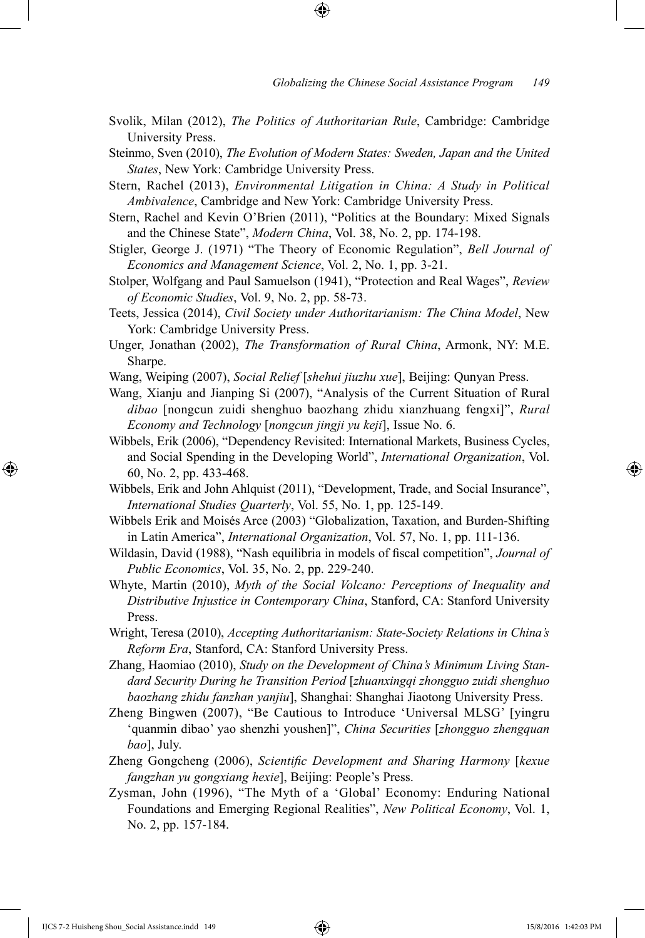- Svolik, Milan (2012), *The Politics of Authoritarian Rule*, Cambridge: Cambridge University Press.
- Steinmo, Sven (2010), *The Evolution of Modern States: Sweden, Japan and the United States*, New York: Cambridge University Press.
- Stern, Rachel (2013), *Environmental Litigation in China: A Study in Political Ambivalence*, Cambridge and New York: Cambridge University Press.
- Stern, Rachel and Kevin O'Brien (2011), "Politics at the Boundary: Mixed Signals and the Chinese State", *Modern China*, Vol. 38, No. 2, pp. 174-198.
- Stigler, George J. (1971) "The Theory of Economic Regulation", *Bell Journal of Economics and Management Science*, Vol. 2, No. 1, pp. 3-21.
- Stolper, Wolfgang and Paul Samuelson (1941), "Protection and Real Wages", *Review of Economic Studies*, Vol. 9, No. 2, pp. 58-73.
- Teets, Jessica (2014), *Civil Society under Authoritarianism: The China Model*, New York: Cambridge University Press.
- Unger, Jonathan (2002), *The Transformation of Rural China*, Armonk, NY: M.E. Sharpe.
- Wang, Weiping (2007), *Social Relief* [*shehui jiuzhu xue*], Beijing: Qunyan Press.
- Wang, Xianju and Jianping Si (2007), "Analysis of the Current Situation of Rural *dibao* [nongcun zuidi shenghuo baozhang zhidu xianzhuang fengxi]", *Rural Economy and Technology* [*nongcun jingji yu keji*], Issue No. 6.
- Wibbels, Erik (2006), "Dependency Revisited: International Markets, Business Cycles, and Social Spending in the Developing World", *International Organization*, Vol. 60, No. 2, pp. 433-468.
- Wibbels, Erik and John Ahlquist (2011), "Development, Trade, and Social Insurance", *International Studies Quarterly*, Vol. 55, No. 1, pp. 125-149.
- Wibbels Erik and Moisés Arce (2003) "Globalization, Taxation, and Burden-Shifting in Latin America", *International Organization*, Vol. 57, No. 1, pp. 111-136.
- Wildasin, David (1988), "Nash equilibria in models of fiscal competition", *Journal of Public Economics*, Vol. 35, No. 2, pp. 229-240.
- Whyte, Martin (2010), *Myth of the Social Volcano: Perceptions of Inequality and Distributive Injustice in Contemporary China*, Stanford, CA: Stanford University Press.
- Wright, Teresa (2010), *Accepting Authoritarianism: State-Society Relations in China's Reform Era*, Stanford, CA: Stanford University Press.
- Zhang, Haomiao (2010), *Study on the Development of China's Minimum Living Standard Security During he Transition Period* [*zhuanxingqi zhongguo zuidi shenghuo baozhang zhidu fanzhan yanjiu*], Shanghai: Shanghai Jiaotong University Press.
- Zheng Bingwen (2007), "Be Cautious to Introduce 'Universal MLSG' [yingru 'quanmin dibao' yao shenzhi youshen]", *China Securities* [*zhongguo zhengquan bao*], July.
- Zheng Gongcheng (2006), *Scientific Development and Sharing Harmony* [*kexue fangzhan yu gongxiang hexie*], Beijing: People's Press.
- Zysman, John (1996), "The Myth of a 'Global' Economy: Enduring National Foundations and Emerging Regional Realities", *New Political Economy*, Vol. 1, No. 2, pp. 157-184.

IJCS 7-2 Huisheng Shou\_Social Assistance.indd 149 15/8/2016 1:42:03 PM

⊕

↔